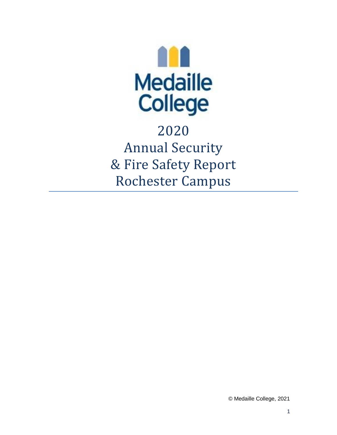

2020 Annual Security & Fire Safety Report Rochester Campus

© Medaille College, 2021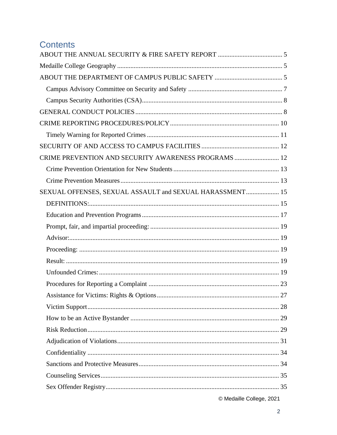# **Contents**

| CRIME PREVENTION AND SECURITY AWARENESS PROGRAMS  12     |  |
|----------------------------------------------------------|--|
|                                                          |  |
|                                                          |  |
| SEXUAL OFFENSES, SEXUAL ASSAULT and SEXUAL HARASSMENT 15 |  |
|                                                          |  |
|                                                          |  |
|                                                          |  |
|                                                          |  |
|                                                          |  |
|                                                          |  |
|                                                          |  |
|                                                          |  |
|                                                          |  |
|                                                          |  |
|                                                          |  |
|                                                          |  |
|                                                          |  |
|                                                          |  |
|                                                          |  |
|                                                          |  |
|                                                          |  |
|                                                          |  |

© Medaille College, 2021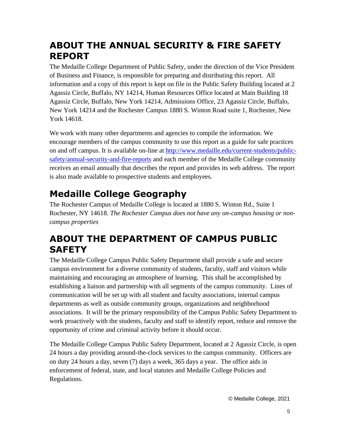# <span id="page-4-0"></span>**ABOUT THE ANNUAL SECURITY & FIRE SAFETY REPORT**

The Medaille College Department of Public Safety, under the direction of the Vice President of Business and Finance, is responsible for preparing and distributing this report. All information and a copy of this report is kept on file in the Public Safety Building located at 2 Agassiz Circle, Buffalo, NY 14214, Human Resources Office located at Main Building 18 Agassiz Circle, Buffalo, New York 14214, Admissions Office, 23 Agassiz Circle, Buffalo, New York 14214 and the Rochester Campus 1880 S. Winton Road suite 1, Rochester, New York 14618.

We work with many other departments and agencies to compile the information. We encourage members of the campus community to use this report as a guide for safe practices on and off campus. It is available on-line at [http://www.medaille.edu/current-students/public](http://www.medaille.edu/current-students/public-safety/annual-security-and-fire-reports)[safety/annual-security-and-fire-reports](http://www.medaille.edu/current-students/public-safety/annual-security-and-fire-reports) and each member of the Medaille College community receives an email annually that describes the report and provides its web address. The report is also made available to prospective students and employees.

# <span id="page-4-1"></span>**Medaille College Geography**

The Rochester Campus of Medaille College is located at 1880 S. Winton Rd., Suite 1 Rochester, NY 14618. *The Rochester Campus does not have any on-campus housing or noncampus properties*

# <span id="page-4-2"></span>**ABOUT THE DEPARTMENT OF CAMPUS PUBLIC SAFETY**

The Medaille College Campus Public Safety Department shall provide a safe and secure campus environment for a diverse community of students, faculty, staff and visitors while maintaining and encouraging an atmosphere of learning. This shall be accomplished by establishing a liaison and partnership with all segments of the campus community. Lines of communication will be set up with all student and faculty associations, internal campus departments as well as outside community groups, organizations and neighborhood associations. It will be the primary responsibility of the Campus Public Safety Department to work proactively with the students, faculty and staff to identify report, reduce and remove the opportunity of crime and criminal activity before it should occur.

The Medaille College Campus Public Safety Department, located at 2 Agassiz Circle, is open 24 hours a day providing around-the-clock services to the campus community. Officers are on duty 24 hours a day, seven (7) days a week, 365 days a year. The office aids in enforcement of federal, state, and local statutes and Medaille College Policies and Regulations.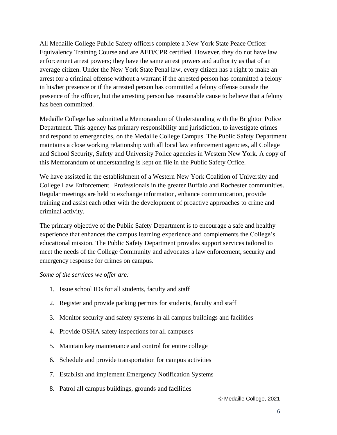All Medaille College Public Safety officers complete a New York State Peace Officer Equivalency Training Course and are AED/CPR certified. However, they do not have law enforcement arrest powers; they have the same arrest powers and authority as that of an average citizen. Under the New York State Penal law, every citizen has a right to make an arrest for a criminal offense without a warrant if the arrested person has committed a felony in his/her presence or if the arrested person has committed a felony offense outside the presence of the officer, but the arresting person has reasonable cause to believe that a felony has been committed.

Medaille College has submitted a Memorandum of Understanding with the Brighton Police Department. This agency has primary responsibility and jurisdiction, to investigate crimes and respond to emergencies, on the Medaille College Campus. The Public Safety Department maintains a close working relationship with all local law enforcement agencies, all College and School Security, Safety and University Police agencies in Western New York. A copy of this Memorandum of understanding is kept on file in the Public Safety Office.

We have assisted in the establishment of a Western New York Coalition of University and College Law Enforcement Professionals in the greater Buffalo and Rochester communities. Regular meetings are held to exchange information, enhance communication, provide training and assist each other with the development of proactive approaches to crime and criminal activity.

The primary objective of the Public Safety Department is to encourage a safe and healthy experience that enhances the campus learning experience and complements the College's educational mission. The Public Safety Department provides support services tailored to meet the needs of the College Community and advocates a law enforcement, security and emergency response for crimes on campus.

*Some of the services we offer are:* 

- 1. Issue school IDs for all students, faculty and staff
- 2. Register and provide parking permits for students, faculty and staff
- 3. Monitor security and safety systems in all campus buildings and facilities
- 4. Provide OSHA safety inspections for all campuses
- 5. Maintain key maintenance and control for entire college
- 6. Schedule and provide transportation for campus activities
- 7. Establish and implement Emergency Notification Systems
- 8. Patrol all campus buildings, grounds and facilities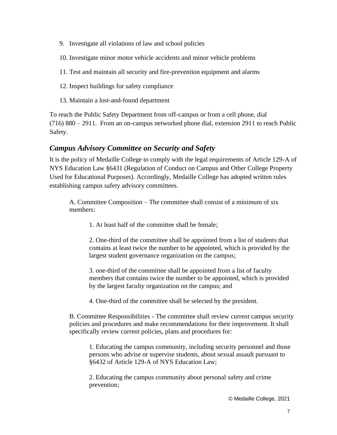- 9. Investigate all violations of law and school policies
- 10. Investigate minor motor vehicle accidents and minor vehicle problems
- 11. Test and maintain all security and fire-prevention equipment and alarms
- 12. Inspect buildings for safety compliance
- 13. Maintain a lost-and-found department

To reach the Public Safety Department from off-campus or from a cell phone, dial (716) 880 – 2911. From an on-campus networked phone dial, extension 2911 to reach Public Safety.

#### <span id="page-6-0"></span>*Campus Advisory Committee on Security and Safety*

It is the policy of Medaille College to comply with the legal requirements of Article 129-A of NYS Education Law §6431 (Regulation of Conduct on Campus and Other College Property Used for Educational Purposes). Accordingly, Medaille College has adopted written rules establishing campus safety advisory committees.

A. Committee Composition – The committee shall consist of a minimum of six members:

1. At least half of the committee shall be female;

2. One-third of the committee shall be appointed from a list of students that contains at least twice the number to be appointed, which is provided by the largest student governance organization on the campus;

3. one-third of the committee shall be appointed from a list of faculty members that contains twice the number to be appointed, which is provided by the largest faculty organization on the campus; and

4. One-third of the committee shall be selected by the president.

B. Committee Responsibilities - The committee shall review current campus security policies and procedures and make recommendations for their improvement. It shall specifically review current policies, plans and procedures for:

1. Educating the campus community, including security personnel and those persons who advise or supervise students, about sexual assault pursuant to §6432 of Article 129-A of NYS Education Law;

2. Educating the campus community about personal safety and crime prevention;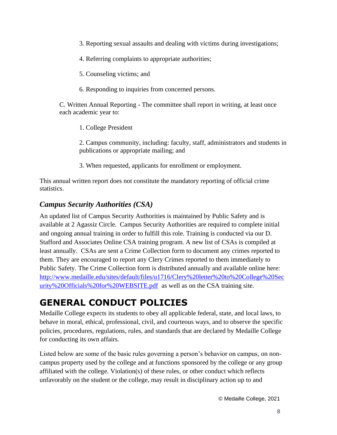- 3. Reporting sexual assaults and dealing with victims during investigations;
- 4. Referring complaints to appropriate authorities;
- 5. Counseling victims; and
- 6. Responding to inquiries from concerned persons.

C. Written Annual Reporting - The committee shall report in writing, at least once each academic year to:

1. College President

2. Campus community, including: faculty, staff, administrators and students in publications or appropriate mailing; and

3. When requested, applicants for enrollment or employment.

This annual written report does not constitute the mandatory reporting of official crime statistics.

### <span id="page-7-0"></span>*Campus Security Authorities (CSA)*

An updated list of Campus Security Authorities is maintained by Public Safety and is available at 2 Agassiz Circle. Campus Security Authorities are required to complete initial and ongoing annual training in order to fulfill this role. Training is conducted via our D. Stafford and Associates Online CSA training program. A new list of CSAs is compiled at least annually. CSAs are sent a Crime Collection form to document any crimes reported to them. They are encouraged to report any Clery Crimes reported to them immediately to Public Safety. The Crime Collection form is distributed annually and available online here: [http://www.medaille.edu/sites/default/files/u1716/Clery%20letter%20to%20College%20Sec](http://www.medaille.edu/sites/default/files/u1716/Clery%20letter%20to%20College%20Security%20Officials%20for%20WEBSITE.pdf) [urity%20Officials%20for%20WEBSITE.pdf](http://www.medaille.edu/sites/default/files/u1716/Clery%20letter%20to%20College%20Security%20Officials%20for%20WEBSITE.pdf) as well as on the CSA training site.

# <span id="page-7-1"></span>**GENERAL CONDUCT POLICIES**

Medaille College expects its students to obey all applicable federal, state, and local laws, to behave in moral, ethical, professional, civil, and courteous ways, and to observe the specific policies, procedures, regulations, rules, and standards that are declared by Medaille College for conducting its own affairs.

Listed below are some of the basic rules governing a person's behavior on campus, on noncampus property used by the college and at functions sponsored by the college or any group affiliated with the college. Violation(s) of these rules, or other conduct which reflects unfavorably on the student or the college, may result in disciplinary action up to and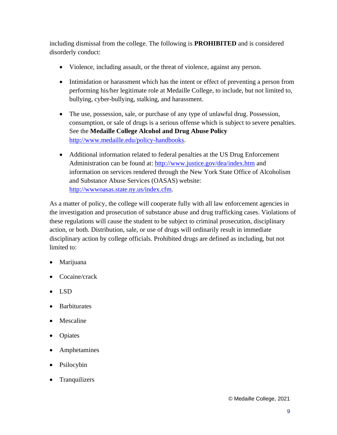including dismissal from the college. The following is **PROHIBITED** and is considered disorderly conduct:

- Violence, including assault, or the threat of violence, against any person.
- Intimidation or harassment which has the intent or effect of preventing a person from performing his/her legitimate role at Medaille College, to include, but not limited to, bullying, cyber-bullying, stalking, and harassment.
- The use, possession, sale, or purchase of any type of unlawful drug. Possession, consumption, or sale of drugs is a serious offense which is subject to severe penalties. See the **Medaille College Alcohol and Drug Abuse Policy** [http://www.medaille.edu/policy-handbooks.](http://www.medaille.edu/policy-handbooks)
- Additional information related to federal penalties at the US Drug Enforcement Administration can be found at:<http://www.justice.gov/dea/index.htm> and information on services rendered through the New York State Office of Alcoholism and Substance Abuse Services (OASAS) website: [http://wwwoasas.state.ny.us/index.cfm.](http://wwwoasas.state.ny.us/index.cfm)

As a matter of policy, the college will cooperate fully with all law enforcement agencies in the investigation and prosecution of substance abuse and drug trafficking cases. Violations of these regulations will cause the student to be subject to criminal prosecution, disciplinary action, or both. Distribution, sale, or use of drugs will ordinarily result in immediate disciplinary action by college officials. Prohibited drugs are defined as including, but not limited to:

- **Marijuana**
- Cocaine/crack
- LSD
- Barbiturates
- Mescaline
- Opiates
- Amphetamines
- Psilocybin
- **Tranquilizers**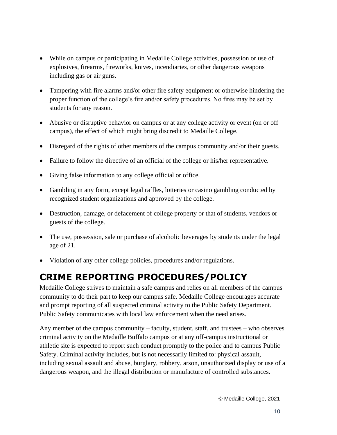- While on campus or participating in Medaille College activities, possession or use of explosives, firearms, fireworks, knives, incendiaries, or other dangerous weapons including gas or air guns.
- Tampering with fire alarms and/or other fire safety equipment or otherwise hindering the proper function of the college's fire and/or safety procedures. No fires may be set by students for any reason.
- Abusive or disruptive behavior on campus or at any college activity or event (on or off campus), the effect of which might bring discredit to Medaille College.
- Disregard of the rights of other members of the campus community and/or their guests.
- Failure to follow the directive of an official of the college or his/her representative.
- Giving false information to any college official or office.
- Gambling in any form, except legal raffles, lotteries or casino gambling conducted by recognized student organizations and approved by the college.
- Destruction, damage, or defacement of college property or that of students, vendors or guests of the college.
- The use, possession, sale or purchase of alcoholic beverages by students under the legal age of 21.
- Violation of any other college policies, procedures and/or regulations.

# <span id="page-9-0"></span>**CRIME REPORTING PROCEDURES/POLICY**

Medaille College strives to maintain a safe campus and relies on all members of the campus community to do their part to keep our campus safe. Medaille College encourages accurate and prompt reporting of all suspected criminal activity to the Public Safety Department. Public Safety communicates with local law enforcement when the need arises.

Any member of the campus community – faculty, student, staff, and trustees – who observes criminal activity on the Medaille Buffalo campus or at any off-campus instructional or athletic site is expected to report such conduct promptly to the police and to campus Public Safety. Criminal activity includes, but is not necessarily limited to: physical assault, including sexual assault and abuse, burglary, robbery, arson, unauthorized display or use of a dangerous weapon, and the illegal distribution or manufacture of controlled substances.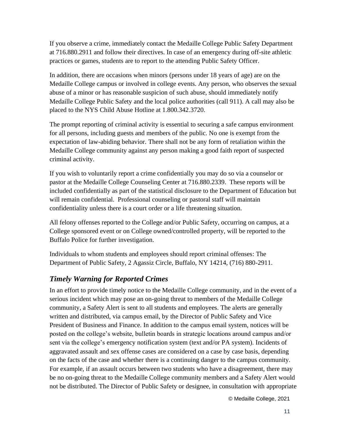If you observe a crime, immediately contact the Medaille College Public Safety Department at 716.880.2911 and follow their directives. In case of an emergency during off-site athletic practices or games, students are to report to the attending Public Safety Officer.

In addition, there are occasions when minors (persons under 18 years of age) are on the Medaille College campus or involved in college events. Any person, who observes the sexual abuse of a minor or has reasonable suspicion of such abuse, should immediately notify Medaille College Public Safety and the local police authorities (call 911). A call may also be placed to the NYS Child Abuse Hotline at 1.800.342.3720.

The prompt reporting of criminal activity is essential to securing a safe campus environment for all persons, including guests and members of the public. No one is exempt from the expectation of law-abiding behavior. There shall not be any form of retaliation within the Medaille College community against any person making a good faith report of suspected criminal activity.

If you wish to voluntarily report a crime confidentially you may do so via a counselor or pastor at the Medaille College Counseling Center at 716.880.2339. These reports will be included confidentially as part of the statistical disclosure to the Department of Education but will remain confidential. Professional counseling or pastoral staff will maintain confidentiality unless there is a court order or a life threatening situation.

All felony offenses reported to the College and/or Public Safety, occurring on campus, at a College sponsored event or on College owned/controlled property, will be reported to the Buffalo Police for further investigation.

Individuals to whom students and employees should report criminal offenses: The Department of Public Safety, 2 Agassiz Circle, Buffalo, NY 14214, (716) 880-2911.

# <span id="page-10-0"></span>*Timely Warning for Reported Crimes*

In an effort to provide timely notice to the Medaille College community, and in the event of a serious incident which may pose an on-going threat to members of the Medaille College community, a Safety Alert is sent to all students and employees. The alerts are generally written and distributed, via campus email, by the Director of Public Safety and Vice President of Business and Finance. In addition to the campus email system, notices will be posted on the college's website, bulletin boards in strategic locations around campus and/or sent via the college's emergency notification system (text and/or PA system). Incidents of aggravated assault and sex offense cases are considered on a case by case basis, depending on the facts of the case and whether there is a continuing danger to the campus community. For example, if an assault occurs between two students who have a disagreement, there may be no on-going threat to the Medaille College community members and a Safety Alert would not be distributed. The Director of Public Safety or designee, in consultation with appropriate

© Medaille College, 2021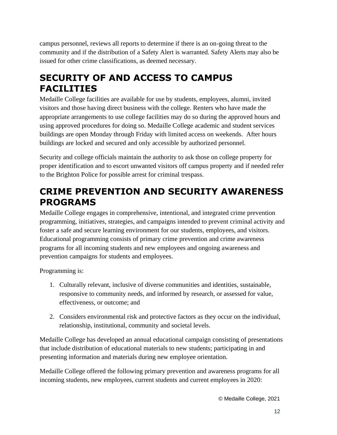campus personnel, reviews all reports to determine if there is an on-going threat to the community and if the distribution of a Safety Alert is warranted. Safety Alerts may also be issued for other crime classifications, as deemed necessary.

# <span id="page-11-0"></span>**SECURITY OF AND ACCESS TO CAMPUS FACILITIES**

Medaille College facilities are available for use by students, employees, alumni, invited visitors and those having direct business with the college. Renters who have made the appropriate arrangements to use college facilities may do so during the approved hours and using approved procedures for doing so. Medaille College academic and student services buildings are open Monday through Friday with limited access on weekends. After hours buildings are locked and secured and only accessible by authorized personnel.

Security and college officials maintain the authority to ask those on college property for proper identification and to escort unwanted visitors off campus property and if needed refer to the Brighton Police for possible arrest for criminal trespass.

# <span id="page-11-1"></span>**CRIME PREVENTION AND SECURITY AWARENESS PROGRAMS**

Medaille College engages in comprehensive, intentional, and integrated crime prevention programming, initiatives, strategies, and campaigns intended to prevent criminal activity and foster a safe and secure learning environment for our students, employees, and visitors. Educational programming consists of primary crime prevention and crime awareness programs for all incoming students and new employees and ongoing awareness and prevention campaigns for students and employees.

Programming is:

- 1. Culturally relevant, inclusive of diverse communities and identities, sustainable, responsive to community needs, and informed by research, or assessed for value, effectiveness, or outcome; and
- 2. Considers environmental risk and protective factors as they occur on the individual, relationship, institutional, community and societal levels.

Medaille College has developed an annual educational campaign consisting of presentations that include distribution of educational materials to new students; participating in and presenting information and materials during new employee orientation.

Medaille College offered the following primary prevention and awareness programs for all incoming students, new employees, current students and current employees in 2020: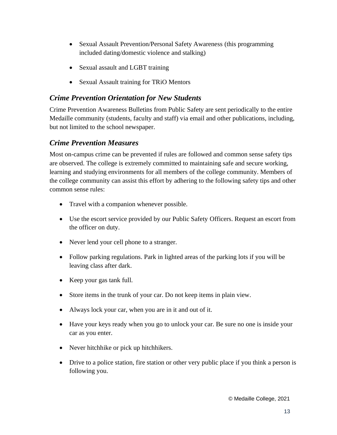- Sexual Assault Prevention/Personal Safety Awareness (this programming included dating/domestic violence and stalking)
- Sexual assault and LGBT training
- Sexual Assault training for TRiO Mentors

#### <span id="page-12-0"></span>*Crime Prevention Orientation for New Students*

Crime Prevention Awareness Bulletins from Public Safety are sent periodically to the entire Medaille community (students, faculty and staff) via email and other publications, including, but not limited to the school newspaper.

### <span id="page-12-1"></span>*Crime Prevention Measures*

Most on-campus crime can be prevented if rules are followed and common sense safety tips are observed. The college is extremely committed to maintaining safe and secure working, learning and studying environments for all members of the college community. Members of the college community can assist this effort by adhering to the following safety tips and other common sense rules:

- Travel with a companion whenever possible.
- Use the escort service provided by our Public Safety Officers. Request an escort from the officer on duty.
- Never lend your cell phone to a stranger.
- Follow parking regulations. Park in lighted areas of the parking lots if you will be leaving class after dark.
- Keep your gas tank full.
- Store items in the trunk of your car. Do not keep items in plain view.
- Always lock your car, when you are in it and out of it.
- Have your keys ready when you go to unlock your car. Be sure no one is inside your car as you enter.
- Never hitchhike or pick up hitchhikers.
- Drive to a police station, fire station or other very public place if you think a person is following you.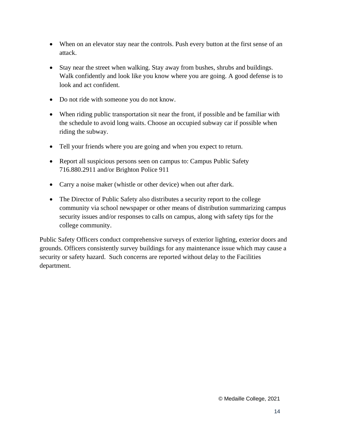- When on an elevator stay near the controls. Push every button at the first sense of an attack.
- Stay near the street when walking. Stay away from bushes, shrubs and buildings. Walk confidently and look like you know where you are going. A good defense is to look and act confident.
- Do not ride with someone you do not know.
- When riding public transportation sit near the front, if possible and be familiar with the schedule to avoid long waits. Choose an occupied subway car if possible when riding the subway.
- Tell your friends where you are going and when you expect to return.
- Report all suspicious persons seen on campus to: Campus Public Safety 716.880.2911 and/or Brighton Police 911
- Carry a noise maker (whistle or other device) when out after dark.
- The Director of Public Safety also distributes a security report to the college community via school newspaper or other means of distribution summarizing campus security issues and/or responses to calls on campus, along with safety tips for the college community.

<span id="page-13-0"></span>Public Safety Officers conduct comprehensive surveys of exterior lighting, exterior doors and grounds. Officers consistently survey buildings for any maintenance issue which may cause a security or safety hazard. Such concerns are reported without delay to the Facilities department.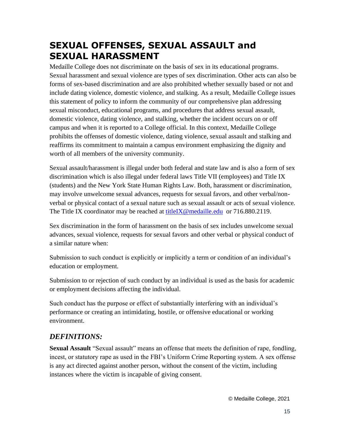# **SEXUAL OFFENSES, SEXUAL ASSAULT and SEXUAL HARASSMENT**

Medaille College does not discriminate on the basis of sex in its educational programs. Sexual harassment and sexual violence are types of sex discrimination. Other acts can also be forms of sex-based discrimination and are also prohibited whether sexually based or not and include dating violence, domestic violence, and stalking. As a result, Medaille College issues this statement of policy to inform the community of our comprehensive plan addressing sexual misconduct, educational programs, and procedures that address sexual assault, domestic violence, dating violence, and stalking, whether the incident occurs on or off campus and when it is reported to a College official. In this context, Medaille College prohibits the offenses of domestic violence, dating violence, sexual assault and stalking and reaffirms its commitment to maintain a campus environment emphasizing the dignity and worth of all members of the university community.

Sexual assault/harassment is illegal under both federal and state law and is also a form of sex discrimination which is also illegal under federal laws Title VII (employees) and Title IX (students) and the New York State Human Rights Law. Both, harassment or discrimination, may involve unwelcome sexual advances, requests for sexual favors, and other verbal/nonverbal or physical contact of a sexual nature such as sexual assault or acts of sexual violence. The Title IX coordinator may be reached at [titleIX@medaille.edu](mailto:titleIX@medaille.edu) or 716.880.2119.

Sex discrimination in the form of harassment on the basis of sex includes unwelcome sexual advances, sexual violence, requests for sexual favors and other verbal or physical conduct of a similar nature when:

Submission to such conduct is explicitly or implicitly a term or condition of an individual's education or employment.

Submission to or rejection of such conduct by an individual is used as the basis for academic or employment decisions affecting the individual.

Such conduct has the purpose or effect of substantially interfering with an individual's performance or creating an intimidating, hostile, or offensive educational or working environment.

# <span id="page-14-0"></span>*DEFINITIONS:*

**Sexual Assault** "Sexual assault" means an offense that meets the definition of rape, fondling, incest, or statutory rape as used in the FBI's Uniform Crime Reporting system. A sex offense is any act directed against another person, without the consent of the victim, including instances where the victim is incapable of giving consent.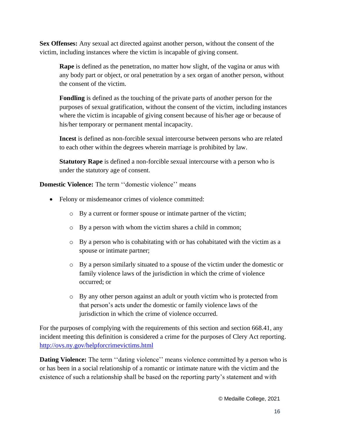**Sex Offenses:** Any sexual act directed against another person, without the consent of the victim, including instances where the victim is incapable of giving consent.

**Rape** is defined as the penetration, no matter how slight, of the vagina or anus with any body part or object, or oral penetration by a sex organ of another person, without the consent of the victim.

**Fondling** is defined as the touching of the private parts of another person for the purposes of sexual gratification, without the consent of the victim, including instances where the victim is incapable of giving consent because of his/her age or because of his/her temporary or permanent mental incapacity.

**Incest** is defined as non-forcible sexual intercourse between persons who are related to each other within the degrees wherein marriage is prohibited by law.

**Statutory Rape** is defined a non-forcible sexual intercourse with a person who is under the statutory age of consent.

**Domestic Violence:** The term ''domestic violence'' means

- Felony or misdemeanor crimes of violence committed:
	- o By a current or former spouse or intimate partner of the victim;
	- o By a person with whom the victim shares a child in common;
	- o By a person who is cohabitating with or has cohabitated with the victim as a spouse or intimate partner;
	- o By a person similarly situated to a spouse of the victim under the domestic or family violence laws of the jurisdiction in which the crime of violence occurred; or
	- o By any other person against an adult or youth victim who is protected from that person's acts under the domestic or family violence laws of the jurisdiction in which the crime of violence occurred.

For the purposes of complying with the requirements of this section and section 668.41, any incident meeting this definition is considered a crime for the purposes of Clery Act reporting. <http://ovs.ny.gov/helpforcrimevictims.html>

**Dating Violence:** The term "dating violence" means violence committed by a person who is or has been in a social relationship of a romantic or intimate nature with the victim and the existence of such a relationship shall be based on the reporting party's statement and with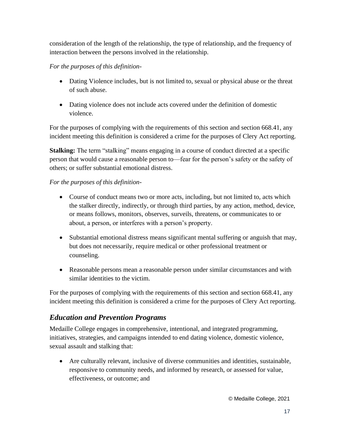consideration of the length of the relationship, the type of relationship, and the frequency of interaction between the persons involved in the relationship.

#### *For the purposes of this definition-*

- Dating Violence includes, but is not limited to, sexual or physical abuse or the threat of such abuse.
- Dating violence does not include acts covered under the definition of domestic violence.

For the purposes of complying with the requirements of this section and section 668.41, any incident meeting this definition is considered a crime for the purposes of Clery Act reporting.

**Stalking:** The term "stalking" means engaging in a course of conduct directed at a specific person that would cause a reasonable person to—fear for the person's safety or the safety of others; or suffer substantial emotional distress.

#### *For the purposes of this definition-*

- Course of conduct means two or more acts, including, but not limited to, acts which the stalker directly, indirectly, or through third parties, by any action, method, device, or means follows, monitors, observes, surveils, threatens, or communicates to or about, a person, or interferes with a person's property.
- Substantial emotional distress means significant mental suffering or anguish that may, but does not necessarily, require medical or other professional treatment or counseling.
- Reasonable persons mean a reasonable person under similar circumstances and with similar identities to the victim.

For the purposes of complying with the requirements of this section and section 668.41, any incident meeting this definition is considered a crime for the purposes of Clery Act reporting.

# <span id="page-16-0"></span>*Education and Prevention Programs*

Medaille College engages in comprehensive, intentional, and integrated programming, initiatives, strategies, and campaigns intended to end dating violence, domestic violence, sexual assault and stalking that:

• Are culturally relevant, inclusive of diverse communities and identities, sustainable, responsive to community needs, and informed by research, or assessed for value, effectiveness, or outcome; and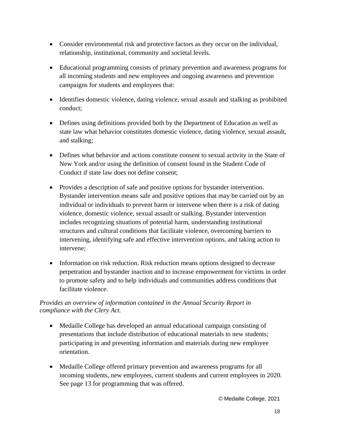- Consider environmental risk and protective factors as they occur on the individual, relationship, institutional, community and societal levels.
- Educational programming consists of primary prevention and awareness programs for all incoming students and new employees and ongoing awareness and prevention campaigns for students and employees that:
- Identifies domestic violence, dating violence, sexual assault and stalking as prohibited conduct;
- Defines using definitions provided both by the Department of Education as well as state law what behavior constitutes domestic violence, dating violence, sexual assault, and stalking;
- Defines what behavior and actions constitute consent to sexual activity in the State of New York and/or using the definition of consent found in the Student Code of Conduct if state law does not define consent;
- Provides a description of safe and positive options for bystander intervention. Bystander intervention means safe and positive options that may be carried out by an individual or individuals to prevent harm or intervene when there is a risk of dating violence, domestic violence, sexual assault or stalking. Bystander intervention includes recognizing situations of potential harm, understanding institutional structures and cultural conditions that facilitate violence, overcoming barriers to intervening, identifying safe and effective intervention options, and taking action to intervene;
- Information on risk reduction. Risk reduction means options designed to decrease perpetration and bystander inaction and to increase empowerment for victims in order to promote safety and to help individuals and communities address conditions that facilitate violence.

#### *Provides an overview of information contained in the Annual Security Report in compliance with the Clery Act.*

- Medaille College has developed an annual educational campaign consisting of presentations that include distribution of educational materials to new students; participating in and presenting information and materials during new employee orientation.
- Medaille College offered primary prevention and awareness programs for all incoming students, new employees, current students and current employees in 2020. See page 13 for programming that was offered.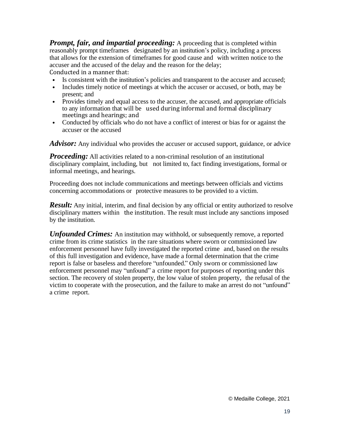<span id="page-18-0"></span>*Prompt, fair, and impartial proceeding:* A proceeding that is completed within reasonably prompt timeframes designated by an institution's policy, including a process that allows for the extension of timeframes for good cause and with written notice to the accuser and the accused of the delay and the reason for the delay; Conducted in a manner that:

- Is consistent with the institution's policies and transparent to the accuser and accused;
- Includes timely notice of meetings at which the accuser or accused, or both, may be present; and
- Provides timely and equal access to the accuser, the accused, and appropriate officials to any information that will be used during informal and formal disciplinary meetings and hearings; and
- Conducted by officials who do not have a conflict of interest or bias for or against the accuser or the accused

<span id="page-18-1"></span>*Advisor:* Any individual who provides the accuser or accused support, guidance, or advice

<span id="page-18-2"></span>*Proceeding:* All activities related to a non-criminal resolution of an institutional disciplinary complaint, including, but not limited to, fact finding investigations, formal or informal meetings, and hearings.

Proceeding does not include communications and meetings between officials and victims concerning accommodations or protective measures to be provided to a victim.

<span id="page-18-3"></span>**Result:** Any initial, interim, and final decision by any official or entity authorized to resolve disciplinary matters within the institution. The result must include any sanctions imposed by the institution.

<span id="page-18-4"></span>*Unfounded Crimes:* An institution may withhold, or subsequently remove, a reported crime from its crime statistics in the rare situations where sworn or commissioned law enforcement personnel have fully investigated the reported crime and, based on the results of this full investigation and evidence, have made a formal determination that the crime report is false or baseless and therefore "unfounded." Only sworn or commissioned law enforcement personnel may "unfound" a crime report for purposes of reporting under this section. The recovery of stolen property, the low value of stolen property, the refusal of the victim to cooperate with the prosecution, and the failure to make an arrest do not "unfound" a crime report.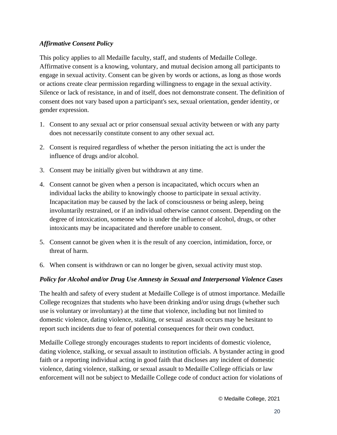#### *Affirmative Consent Policy*

This policy applies to all Medaille faculty, staff, and students of Medaille College. Affirmative consent is a knowing, voluntary, and mutual decision among all participants to engage in sexual activity. Consent can be given by words or actions, as long as those words or actions create clear permission regarding willingness to engage in the sexual activity. Silence or lack of resistance, in and of itself, does not demonstrate consent. The definition of consent does not vary based upon a participant's sex, sexual orientation, gender identity, or gender expression.

- 1. Consent to any sexual act or prior consensual sexual activity between or with any party does not necessarily constitute consent to any other sexual act.
- 2. Consent is required regardless of whether the person initiating the act is under the influence of drugs and/or alcohol.
- 3. Consent may be initially given but withdrawn at any time.
- 4. Consent cannot be given when a person is incapacitated, which occurs when an individual lacks the ability to knowingly choose to participate in sexual activity. Incapacitation may be caused by the lack of consciousness or being asleep, being involuntarily restrained, or if an individual otherwise cannot consent. Depending on the degree of intoxication, someone who is under the influence of alcohol, drugs, or other intoxicants may be incapacitated and therefore unable to consent.
- 5. Consent cannot be given when it is the result of any coercion, intimidation, force, or threat of harm.
- 6. When consent is withdrawn or can no longer be given, sexual activity must stop.

#### *Policy for Alcohol and/or Drug Use Amnesty in Sexual and Interpersonal Violence Cases*

The health and safety of every student at Medaille College is of utmost importance. Medaille College recognizes that students who have been drinking and/or using drugs (whether such use is voluntary or involuntary) at the time that violence, including but not limited to domestic violence, dating violence, stalking, or sexual assault occurs may be hesitant to report such incidents due to fear of potential consequences for their own conduct.

Medaille College strongly encourages students to report incidents of domestic violence, dating violence, stalking, or sexual assault to institution officials. A bystander acting in good faith or a reporting individual acting in good faith that discloses any incident of domestic violence, dating violence, stalking, or sexual assault to Medaille College officials or law enforcement will not be subject to Medaille College code of conduct action for violations of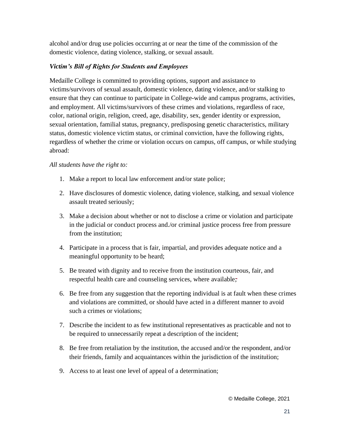alcohol and/or drug use policies occurring at or near the time of the commission of the domestic violence, dating violence, stalking, or sexual assault.

#### *Victim's Bill of Rights for Students and Employees*

Medaille College is committed to providing options, support and assistance to victims/survivors of sexual assault, domestic violence, dating violence, and/or stalking to ensure that they can continue to participate in College-wide and campus programs, activities, and employment. All victims/survivors of these crimes and violations, regardless of race, color, national origin, religion, creed, age, disability, sex, gender identity or expression, sexual orientation, familial status, pregnancy, predisposing genetic characteristics, military status, domestic violence victim status, or criminal conviction, have the following rights, regardless of whether the crime or violation occurs on campus, off campus, or while studying abroad:

#### *All students have the right to:*

- 1. Make a report to local law enforcement and/or state police;
- 2. Have disclosures of domestic violence, dating violence, stalking, and sexual violence assault treated seriously;
- 3. Make a decision about whether or not to disclose a crime or violation and participate in the judicial or conduct process and./or criminal justice process free from pressure from the institution;
- 4. Participate in a process that is fair, impartial, and provides adequate notice and a meaningful opportunity to be heard;
- 5. Be treated with dignity and to receive from the institution courteous, fair, and respectful health care and counseling services, where available;
- 6. Be free from any suggestion that the reporting individual is at fault when these crimes and violations are committed, or should have acted in a different manner to avoid such a crimes or violations;
- 7. Describe the incident to as few institutional representatives as practicable and not to be required to unnecessarily repeat a description of the incident;
- 8. Be free from retaliation by the institution, the accused and/or the respondent, and/or their friends, family and acquaintances within the jurisdiction of the institution;
- 9. Access to at least one level of appeal of a determination;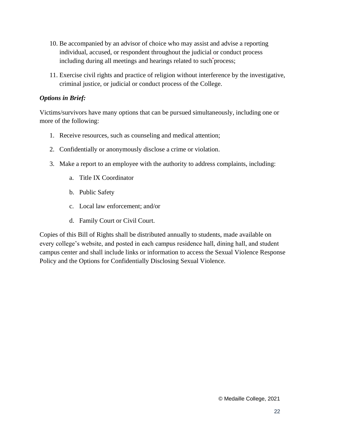- 10. Be accompanied by an advisor of choice who may assist and advise a reporting individual, accused, or respondent throughout the judicial or conduct process including during all meetings and hearings related to such process;
- 11. Exercise civil rights and practice of religion without interference by the investigative, criminal justice, or judicial or conduct process of the College.

#### *Options in Brief:*

Victims/survivors have many options that can be pursued simultaneously, including one or more of the following:

- 1. Receive resources, such as counseling and medical attention;
- 2. Confidentially or anonymously disclose a crime or violation.
- 3. Make a report to an employee with the authority to address complaints, including:
	- a. Title IX Coordinator
	- b. Public Safety
	- c. Local law enforcement; and/or
	- d. Family Court or Civil Court.

<span id="page-21-0"></span>Copies of this Bill of Rights shall be distributed annually to students, made available on every college's website, and posted in each campus residence hall, dining hall, and student campus center and shall include links or information to access the Sexual Violence Response Policy and the Options for Confidentially Disclosing Sexual Violence.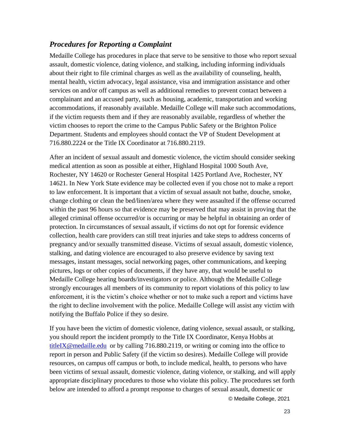#### *Procedures for Reporting a Complaint*

Medaille College has procedures in place that serve to be sensitive to those who report sexual assault, domestic violence, dating violence, and stalking, including informing individuals about their right to file criminal charges as well as the availability of counseling, health, mental health, victim advocacy, legal assistance, visa and immigration assistance and other services on and/or off campus as well as additional remedies to prevent contact between a complainant and an accused party, such as housing, academic, transportation and working accommodations, if reasonably available. Medaille College will make such accommodations, if the victim requests them and if they are reasonably available, regardless of whether the victim chooses to report the crime to the Campus Public Safety or the Brighton Police Department. Students and employees should contact the VP of Student Development at 716.880.2224 or the Title IX Coordinator at 716.880.2119.

After an incident of sexual assault and domestic violence, the victim should consider seeking medical attention as soon as possible at either, Highland Hospital 1000 South Ave, Rochester, NY 14620 or Rochester General Hospital 1425 Portland Ave, Rochester, NY 14621. In New York State evidence may be collected even if you chose not to make a report to law enforcement. It is important that a victim of sexual assault not bathe, douche, smoke, change clothing or clean the bed/linen/area where they were assaulted if the offense occurred within the past 96 hours so that evidence may be preserved that may assist in proving that the alleged criminal offense occurred/or is occurring or may be helpful in obtaining an order of protection. In circumstances of sexual assault, if victims do not opt for forensic evidence collection, health care providers can still treat injuries and take steps to address concerns of pregnancy and/or sexually transmitted disease. Victims of sexual assault, domestic violence, stalking, and dating violence are encouraged to also preserve evidence by saving text messages, instant messages, social networking pages, other communications, and keeping pictures, logs or other copies of documents, if they have any, that would be useful to Medaille College hearing boards/investigators or police. Although the Medaille College strongly encourages all members of its community to report violations of this policy to law enforcement, it is the victim's choice whether or not to make such a report and victims have the right to decline involvement with the police. Medaille College will assist any victim with notifying the Buffalo Police if they so desire.

If you have been the victim of domestic violence, dating violence, sexual assault, or stalking, you should report the incident promptly to the Title IX Coordinator, Kenya Hobbs at [titleIX@medaille.edu](mailto:titleIX@medaille.edu) or by calling 716.880.2119, or writing or coming into the office to report in person and Public Safety (if the victim so desires). Medaille College will provide resources, on campus off campus or both, to include medical, health, to persons who have been victims of sexual assault, domestic violence, dating violence, or stalking, and will apply appropriate disciplinary procedures to those who violate this policy. The procedures set forth below are intended to afford a prompt response to charges of sexual assault, domestic or

© Medaille College, 2021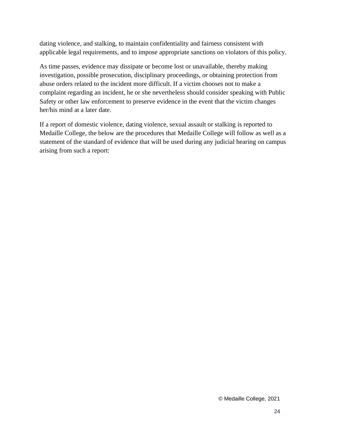dating violence, and stalking, to maintain confidentiality and fairness consistent with applicable legal requirements, and to impose appropriate sanctions on violators of this policy.

As time passes, evidence may dissipate or become lost or unavailable, thereby making investigation, possible prosecution, disciplinary proceedings, or obtaining protection from abuse orders related to the incident more difficult. If a victim chooses not to make a complaint regarding an incident, he or she nevertheless should consider speaking with Public Safety or other law enforcement to preserve evidence in the event that the victim changes her/his mind at a later date.

If a report of domestic violence, dating violence, sexual assault or stalking is reported to Medaille College, the below are the procedures that Medaille College will follow as well as a statement of the standard of evidence that will be used during any judicial hearing on campus arising from such a report: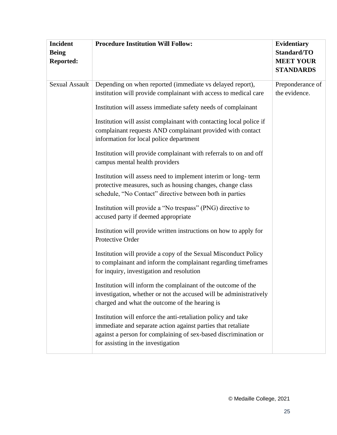| <b>Incident</b><br><b>Being</b><br><b>Reported:</b> | <b>Procedure Institution Will Follow:</b>                                                                                                                                                                                                                                                                                                                                                                                                                                                                                                                                                                                                                                                                                                                                                                                                                                                                                                                                                                                                                                                                                                                                                                                                                                                                                                                                                                                                                                                             | <b>Evidentiary</b><br>Standard/TO<br><b>MEET YOUR</b><br><b>STANDARDS</b> |
|-----------------------------------------------------|-------------------------------------------------------------------------------------------------------------------------------------------------------------------------------------------------------------------------------------------------------------------------------------------------------------------------------------------------------------------------------------------------------------------------------------------------------------------------------------------------------------------------------------------------------------------------------------------------------------------------------------------------------------------------------------------------------------------------------------------------------------------------------------------------------------------------------------------------------------------------------------------------------------------------------------------------------------------------------------------------------------------------------------------------------------------------------------------------------------------------------------------------------------------------------------------------------------------------------------------------------------------------------------------------------------------------------------------------------------------------------------------------------------------------------------------------------------------------------------------------------|---------------------------------------------------------------------------|
| <b>Sexual Assault</b>                               | Depending on when reported (immediate vs delayed report),<br>institution will provide complainant with access to medical care<br>Institution will assess immediate safety needs of complainant<br>Institution will assist complainant with contacting local police if<br>complainant requests AND complainant provided with contact<br>information for local police department<br>Institution will provide complainant with referrals to on and off<br>campus mental health providers<br>Institution will assess need to implement interim or long-term<br>protective measures, such as housing changes, change class<br>schedule, "No Contact" directive between both in parties<br>Institution will provide a "No trespass" (PNG) directive to<br>accused party if deemed appropriate<br>Institution will provide written instructions on how to apply for<br>Protective Order<br>Institution will provide a copy of the Sexual Misconduct Policy<br>to complainant and inform the complainant regarding timeframes<br>for inquiry, investigation and resolution<br>Institution will inform the complainant of the outcome of the<br>investigation, whether or not the accused will be administratively<br>charged and what the outcome of the hearing is<br>Institution will enforce the anti-retaliation policy and take<br>immediate and separate action against parties that retaliate<br>against a person for complaining of sex-based discrimination or<br>for assisting in the investigation | Preponderance of<br>the evidence.                                         |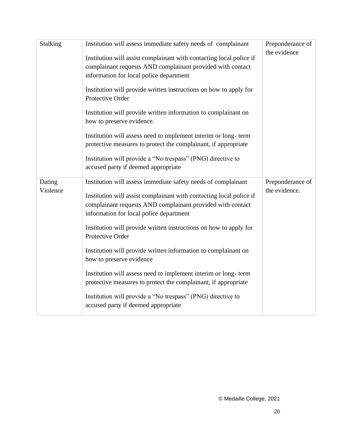| <b>Stalking</b>    | Institution will assess immediate safety needs of complainant<br>Institution will assist complainant with contacting local police if<br>complainant requests AND complainant provided with contact<br>information for local police department<br>Institution will provide written instructions on how to apply for<br>Protective Order<br>Institution will provide written information to complainant on | Preponderance of<br>the evidence  |
|--------------------|----------------------------------------------------------------------------------------------------------------------------------------------------------------------------------------------------------------------------------------------------------------------------------------------------------------------------------------------------------------------------------------------------------|-----------------------------------|
|                    | how to preserve evidence.<br>Institution will assess need to implement interim or long-term<br>protective measures to protect the complainant, if appropriate<br>Institution will provide a "No trespass" (PNG) directive to<br>accused party if deemed appropriate                                                                                                                                      |                                   |
| Dating<br>Violence | Institution will assess immediate safety needs of complainant<br>Institution will assist complainant with contacting local police if<br>complainant requests AND complainant provided with contact<br>information for local police department<br>Institution will provide written instructions on how to apply for<br>Protective Order<br>Institution will provide written information to complainant on | Preponderance of<br>the evidence. |
|                    | how to preserve evidence<br>Institution will assess need to implement interim or long-term<br>protective measures to protect the complainant, if appropriate<br>Institution will provide a "No trespass" (PNG) directive to<br>accused party if deemed appropriate                                                                                                                                       |                                   |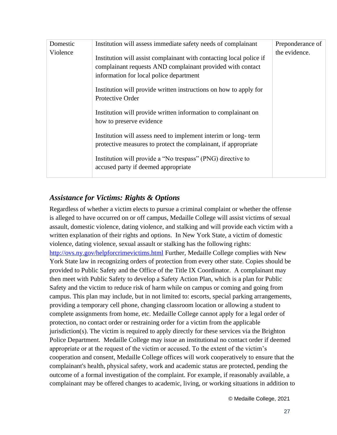| Domestic | Institution will assess immediate safety needs of complainant                                                                                                                | Preponderance of |
|----------|------------------------------------------------------------------------------------------------------------------------------------------------------------------------------|------------------|
| Violence | Institution will assist complainant with contacting local police if<br>complainant requests AND complainant provided with contact<br>information for local police department | the evidence.    |
|          | Institution will provide written instructions on how to apply for<br>Protective Order                                                                                        |                  |
|          | Institution will provide written information to complainant on<br>how to preserve evidence                                                                                   |                  |
|          | Institution will assess need to implement interim or long-term<br>protective measures to protect the complainant, if appropriate                                             |                  |
|          | Institution will provide a "No trespass" (PNG) directive to<br>accused party if deemed appropriate                                                                           |                  |

### <span id="page-26-0"></span>*Assistance for Victims: Rights & Options*

Regardless of whether a victim elects to pursue a criminal complaint or whether the offense is alleged to have occurred on or off campus, Medaille College will assist victims of sexual assault, domestic violence, dating violence, and stalking and will provide each victim with a written explanation of their rights and options. In New York State, a victim of domestic violence, dating violence, sexual assault or stalking has the following rights: <http://ovs.ny.gov/helpforcrimevictims.html> Further, Medaille College complies with New York State law in recognizing orders of protection from every other state. Copies should be provided to Public Safety and the Office of the Title IX Coordinator. A complainant may then meet with Public Safety to develop a Safety Action Plan, which is a plan for Public Safety and the victim to reduce risk of harm while on campus or coming and going from campus. This plan may include, but in not limited to: escorts, special parking arrangements, providing a temporary cell phone, changing classroom location or allowing a student to complete assignments from home, etc. Medaille College cannot apply for a legal order of protection, no contact order or restraining order for a victim from the applicable jurisdiction(s). The victim is required to apply directly for these services via the Brighton Police Department. Medaille College may issue an institutional no contact order if deemed appropriate or at the request of the victim or accused. To the extent of the victim's cooperation and consent, Medaille College offices will work cooperatively to ensure that the complainant's health, physical safety, work and academic status are protected, pending the outcome of a formal investigation of the complaint. For example, if reasonably available, a complainant may be offered changes to academic, living, or working situations in addition to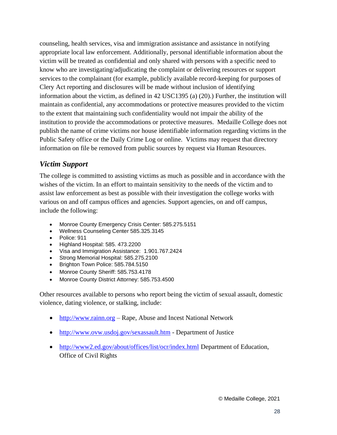counseling, health services, visa and immigration assistance and assistance in notifying appropriate local law enforcement. Additionally, personal identifiable information about the victim will be treated as confidential and only shared with persons with a specific need to know who are investigating/adjudicating the complaint or delivering resources or support services to the complainant (for example, publicly available record-keeping for purposes of Clery Act reporting and disclosures will be made without inclusion of identifying information about the victim, as defined in 42 USC1395 (a) (20).) Further, the institution will maintain as confidential, any accommodations or protective measures provided to the victim to the extent that maintaining such confidentiality would not impair the ability of the institution to provide the accommodations or protective measures. Medaille College does not publish the name of crime victims nor house identifiable information regarding victims in the Public Safety office or the Daily Crime Log or online. Victims may request that directory information on file be removed from public sources by request via Human Resources.

#### <span id="page-27-0"></span>*Victim Support*

The college is committed to assisting victims as much as possible and in accordance with the wishes of the victim. In an effort to maintain sensitivity to the needs of the victim and to assist law enforcement as best as possible with their investigation the college works with various on and off campus offices and agencies. Support agencies, on and off campus, include the following:

- Monroe County Emergency Crisis Center: 585.275.5151
- Wellness Counseling Center 585.325.3145
- Police: 911
- Highland Hospital: 585. 473.2200
- Visa and Immigration Assistance: 1.901.767.2424
- Strong Memorial Hospital: 585.275.2100
- Brighton Town Police: 585.784.5150
- Monroe County Sheriff: 585.753.4178
- Monroe County District Attorney: 585.753.4500

Other resources available to persons who report being the victim of sexual assault, domestic violence, dating violence, or stalking, include:

- [http://www.rainn.org](http://www.rainn.org/) Rape, Abuse and Incest National Network
- <http://www.ovw.usdoj.gov/sexassault.htm> Department of Justice
- <http://www2.ed.gov/about/offices/list/ocr/index.html> Department of Education, Office of Civil Rights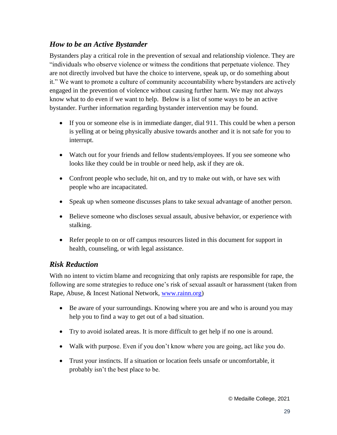#### <span id="page-28-0"></span>*How to be an Active Bystander*

Bystanders play a critical role in the prevention of sexual and relationship violence. They are "individuals who observe violence or witness the conditions that perpetuate violence. They are not directly involved but have the choice to intervene, speak up, or do something about it." We want to promote a culture of community accountability where bystanders are actively engaged in the prevention of violence without causing further harm. We may not always know what to do even if we want to help. Below is a list of some ways to be an active bystander. Further information regarding bystander intervention may be found.

- If you or someone else is in immediate danger, dial 911. This could be when a person is yelling at or being physically abusive towards another and it is not safe for you to interrupt.
- Watch out for your friends and fellow students/employees. If you see someone who looks like they could be in trouble or need help, ask if they are ok.
- Confront people who seclude, hit on, and try to make out with, or have sex with people who are incapacitated.
- Speak up when someone discusses plans to take sexual advantage of another person.
- Believe someone who discloses sexual assault, abusive behavior, or experience with stalking.
- Refer people to on or off campus resources listed in this document for support in health, counseling, or with legal assistance.

#### <span id="page-28-1"></span>*Risk Reduction*

With no intent to victim blame and recognizing that only rapists are responsible for rape, the following are some strategies to reduce one's risk of sexual assault or harassment (taken from Rape, Abuse, & Incest National Network, [www.rainn.org\)](http://www.rainn.org/)

- Be aware of your surroundings. Knowing where you are and who is around you may help you to find a way to get out of a bad situation.
- Try to avoid isolated areas. It is more difficult to get help if no one is around.
- Walk with purpose. Even if you don't know where you are going, act like you do.
- Trust your instincts. If a situation or location feels unsafe or uncomfortable, it probably isn't the best place to be.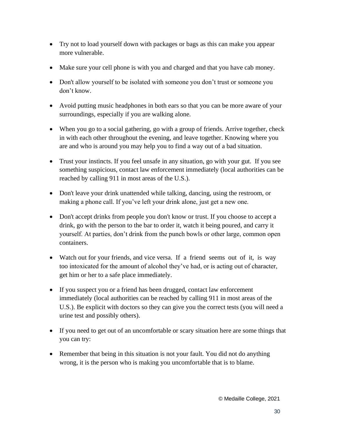- Try not to load yourself down with packages or bags as this can make you appear more vulnerable.
- Make sure your cell phone is with you and charged and that you have cab money.
- Don't allow yourself to be isolated with someone you don't trust or someone you don't know.
- Avoid putting music headphones in both ears so that you can be more aware of your surroundings, especially if you are walking alone.
- When you go to a social gathering, go with a group of friends. Arrive together, check in with each other throughout the evening, and leave together. Knowing where you are and who is around you may help you to find a way out of a bad situation.
- Trust your instincts. If you feel unsafe in any situation, go with your gut. If you see something suspicious, contact law enforcement immediately (local authorities can be reached by calling 911 in most areas of the U.S.).
- Don't leave your drink unattended while talking, dancing, using the restroom, or making a phone call. If you've left your drink alone, just get a new one.
- Don't accept drinks from people you don't know or trust. If you choose to accept a drink, go with the person to the bar to order it, watch it being poured, and carry it yourself. At parties, don't drink from the punch bowls or other large, common open containers.
- Watch out for your friends, and vice versa. If a friend seems out of it, is way too intoxicated for the amount of alcohol they've had, or is acting out of character, get him or her to a safe place immediately.
- If you suspect you or a friend has been drugged, contact law enforcement immediately (local authorities can be reached by calling 911 in most areas of the U.S.). Be explicit with doctors so they can give you the correct tests (you will need a urine test and possibly others).
- If you need to get out of an uncomfortable or scary situation here are some things that you can try:
- Remember that being in this situation is not your fault. You did not do anything wrong, it is the person who is making you uncomfortable that is to blame.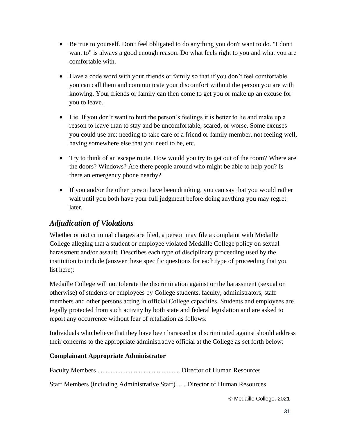- Be true to yourself. Don't feel obligated to do anything you don't want to do. "I don't want to" is always a good enough reason. Do what feels right to you and what you are comfortable with.
- Have a code word with your friends or family so that if you don't feel comfortable you can call them and communicate your discomfort without the person you are with knowing. Your friends or family can then come to get you or make up an excuse for you to leave.
- Lie. If you don't want to hurt the person's feelings it is better to lie and make up a reason to leave than to stay and be uncomfortable, scared, or worse. Some excuses you could use are: needing to take care of a friend or family member, not feeling well, having somewhere else that you need to be, etc.
- Try to think of an escape route. How would you try to get out of the room? Where are the doors? Windows? Are there people around who might be able to help you? Is there an emergency phone nearby?
- If you and/or the other person have been drinking, you can say that you would rather wait until you both have your full judgment before doing anything you may regret later.

# <span id="page-30-0"></span>*Adjudication of Violations*

Whether or not criminal charges are filed, a person may file a complaint with Medaille College alleging that a student or employee violated Medaille College policy on sexual harassment and/or assault. Describes each type of disciplinary proceeding used by the institution to include (answer these specific questions for each type of proceeding that you list here):

Medaille College will not tolerate the discrimination against or the harassment (sexual or otherwise) of students or employees by College students, faculty, administrators, staff members and other persons acting in official College capacities. Students and employees are legally protected from such activity by both state and federal legislation and are asked to report any occurrence without fear of retaliation as follows:

Individuals who believe that they have been harassed or discriminated against should address their concerns to the appropriate administrative official at the College as set forth below:

#### **Complainant Appropriate Administrator**

Faculty Members ...................................................Director of Human Resources

Staff Members (including Administrative Staff) ......Director of Human Resources

© Medaille College, 2021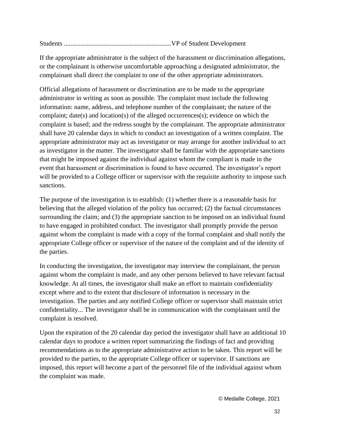Students .................................................................VP of Student Development

If the appropriate administrator is the subject of the harassment or discrimination allegations, or the complainant is otherwise uncomfortable approaching a designated administrator, the complainant shall direct the complaint to one of the other appropriate administrators.

Official allegations of harassment or discrimination are to be made to the appropriate administrator in writing as soon as possible. The complaint must include the following information: name, address, and telephone number of the complainant; the nature of the complaint; date(s) and location(s) of the alleged occurrences(s); evidence on which the complaint is based; and the redress sought by the complainant. The appropriate administrator shall have 20 calendar days in which to conduct an investigation of a written complaint. The appropriate administrator may act as investigator or may arrange for another individual to act as investigator in the matter. The investigator shall be familiar with the appropriate sanctions that might be imposed against the individual against whom the compliant is made in the event that harassment or discrimination is found to have occurred. The investigator's report will be provided to a College officer or supervisor with the requisite authority to impose such sanctions.

The purpose of the investigation is to establish: (1) whether there is a reasonable basis for believing that the alleged violation of the policy has occurred; (2) the factual circumstances surrounding the claim; and (3) the appropriate sanction to be imposed on an individual found to have engaged in prohibited conduct. The investigator shall promptly provide the person against whom the complaint is made with a copy of the formal complaint and shall notify the appropriate College officer or supervisor of the nature of the complaint and of the identity of the parties.

In conducting the investigation, the investigator may interview the complainant, the person against whom the complaint is made, and any other persons believed to have relevant factual knowledge. At all times, the investigator shall make an effort to maintain confidentiality except where and to the extent that disclosure of information is necessary in the investigation. The parties and any notified College officer or supervisor shall maintain strict confidentiality... The investigator shall be in communication with the complainant until the complaint is resolved.

Upon the expiration of the 20 calendar day period the investigator shall have an additional 10 calendar days to produce a written report summarizing the findings of fact and providing recommendations as to the appropriate administrative action to be taken. This report will be provided to the parties, to the appropriate College officer or supervisor. If sanctions are imposed, this report will become a part of the personnel file of the individual against whom the complaint was made.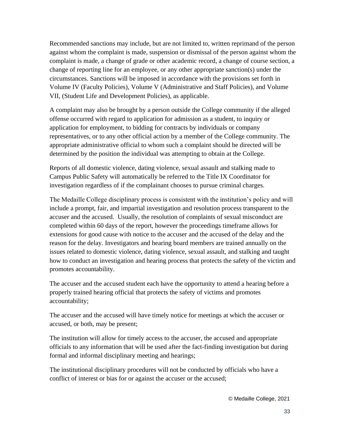Recommended sanctions may include, but are not limited to, written reprimand of the person against whom the complaint is made, suspension or dismissal of the person against whom the complaint is made, a change of grade or other academic record, a change of course section, a change of reporting line for an employee, or any other appropriate sanction(s) under the circumstances. Sanctions will be imposed in accordance with the provisions set forth in Volume IV (Faculty Policies), Volume V (Administrative and Staff Policies), and Volume VII, (Student Life and Development Policies), as applicable.

A complaint may also be brought by a person outside the College community if the alleged offense occurred with regard to application for admission as a student, to inquiry or application for employment, to bidding for contracts by individuals or company representatives, or to any other official action by a member of the College community. The appropriate administrative official to whom such a complaint should be directed will be determined by the position the individual was attempting to obtain at the College.

Reports of all domestic violence, dating violence, sexual assault and stalking made to Campus Public Safety will automatically be referred to the Title IX Coordinator for investigation regardless of if the complainant chooses to pursue criminal charges.

The Medaille College disciplinary process is consistent with the institution's policy and will include a prompt, fair, and impartial investigation and resolution process transparent to the accuser and the accused. Usually, the resolution of complaints of sexual misconduct are completed within 60 days of the report, however the proceedings timeframe allows for extensions for good cause with notice to the accuser and the accused of the delay and the reason for the delay. Investigators and hearing board members are trained annually on the issues related to domestic violence, dating violence, sexual assault, and stalking and taught how to conduct an investigation and hearing process that protects the safety of the victim and promotes accountability.

The accuser and the accused student each have the opportunity to attend a hearing before a properly trained hearing official that protects the safety of victims and promotes accountability;

The accuser and the accused will have timely notice for meetings at which the accuser or accused, or both, may be present;

The institution will allow for timely access to the accuser, the accused and appropriate officials to any information that will be used after the fact-finding investigation but during formal and informal disciplinary meeting and hearings;

The institutional disciplinary procedures will not be conducted by officials who have a conflict of interest or bias for or against the accuser or the accused;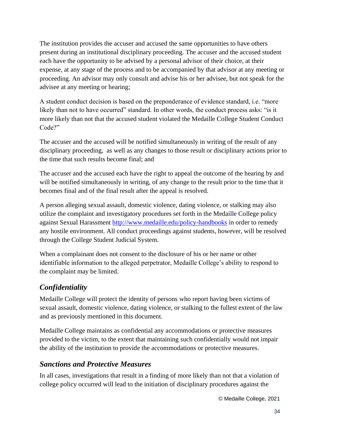The institution provides the accuser and accused the same opportunities to have others present during an institutional disciplinary proceeding. The accuser and the accused student each have the opportunity to be advised by a personal advisor of their choice, at their expense, at any stage of the process and to be accompanied by that advisor at any meeting or proceeding. An advisor may only consult and advise his or her advisee, but not speak for the advisee at any meeting or hearing;

A student conduct decision is based on the preponderance of evidence standard, i.e. "more likely than not to have occurred" standard. In other words, the conduct process asks: "is it more likely than not that the accused student violated the Medaille College Student Conduct Code?"

The accuser and the accused will be notified simultaneously in writing of the result of any disciplinary proceeding, as well as any changes to those result or disciplinary actions prior to the time that such results become final; and

The accuser and the accused each have the right to appeal the outcome of the hearing by and will be notified simultaneously in writing, of any change to the result prior to the time that it becomes final and of the final result after the appeal is resolved.

A person alleging sexual assault, domestic violence, dating violence, or stalking may also utilize the complaint and investigatory procedures set forth in the Medaille College policy against Sexual Harassment<http://www.medaille.edu/policy-handbooks> in order to remedy any hostile environment. All conduct proceedings against students, however, will be resolved through the College Student Judicial System.

When a complainant does not consent to the disclosure of his or her name or other identifiable information to the alleged perpetrator, Medaille College's ability to respond to the complaint may be limited.

# <span id="page-33-0"></span>*Confidentiality*

Medaille College will protect the identity of persons who report having been victims of sexual assault, domestic violence, dating violence, or stalking to the fullest extent of the law and as previously mentioned in this document.

Medaille College maintains as confidential any accommodations or protective measures provided to the victim, to the extent that maintaining such confidentially would not impair the ability of the institution to provide the accommodations or protective measures.

#### <span id="page-33-1"></span>*Sanctions and Protective Measures*

In all cases, investigations that result in a finding of more likely than not that a violation of college policy occurred will lead to the initiation of disciplinary procedures against the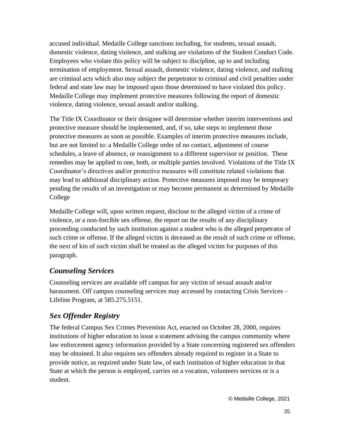accused individual. Medaille College sanctions including, for students, sexual assault, domestic violence, dating violence, and stalking are violations of the Student Conduct Code. Employees who violate this policy will be subject to discipline, up to and including termination of employment. Sexual assault, domestic violence, dating violence, and stalking are criminal acts which also may subject the perpetrator to criminal and civil penalties under federal and state law may be imposed upon those determined to have violated this policy. Medaille College may implement protective measures following the report of domestic violence, dating violence, sexual assault and/or stalking.

The Title IX Coordinator or their designee will determine whether interim interventions and protective measure should be implemented, and, if so, take steps to implement those protective measures as soon as possible. Examples of interim protective measures include, but are not limited to: a Medaille College order of no contact, adjustment of course schedules, a leave of absence, or reassignment to a different supervisor or position. These remedies may be applied to one, both, or multiple parties involved. Violations of the Title IX Coordinator's directives and/or protective measures will constitute related violations that may lead to additional disciplinary action. Protective measures imposed may be temporary pending the results of an investigation or may become permanent as determined by Medaille College

Medaille College will, upon written request, disclose to the alleged victim of a crime of violence, or a non-forcible sex offense, the report on the results of any disciplinary proceeding conducted by such institution against a student who is the alleged perpetrator of such crime or offense. If the alleged victim is deceased as the result of such crime or offense, the next of kin of such victim shall be treated as the alleged victim for purposes of this paragraph.

# <span id="page-34-0"></span>*Counseling Services*

Counseling services are available off campus for any victim of sexual assault and/or harassment. Off campus counseling services may accessed by contacting Crisis Services – Lifeline Program, at 585.275.5151.

# <span id="page-34-1"></span>*Sex Offender Registry*

The federal Campus Sex Crimes Prevention Act, enacted on October 28, 2000, requires institutions of higher education to issue a statement advising the campus community where law enforcement agency information provided by a State concerning registered sex offenders may be obtained. It also requires sex offenders already required to register in a State to provide notice, as required under State law, of each institution of higher education in that State at which the person is employed, carries on a vocation, volunteers services or is a student.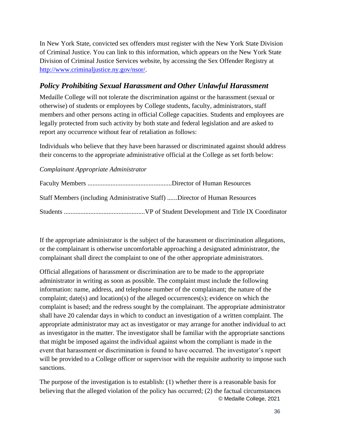In New York State, convicted sex offenders must register with the New York State Division of Criminal Justice. You can link to this information, which appears on the New York State Division of Criminal Justice Services website, by accessing the Sex Offender Registry at [http://www.criminaljustice.ny.gov/nsor/.](http://www.criminaljustice.ny.gov/nsor/)

### *Policy Prohibiting Sexual Harassment and Other Unlawful Harassment*

Medaille College will not tolerate the discrimination against or the harassment (sexual or otherwise) of students or employees by College students, faculty, administrators, staff members and other persons acting in official College capacities. Students and employees are legally protected from such activity by both state and federal legislation and are asked to report any occurrence without fear of retaliation as follows:

Individuals who believe that they have been harassed or discriminated against should address their concerns to the appropriate administrative official at the College as set forth below:

#### *Complainant Appropriate Administrator*

| Staff Members (including Administrative Staff) Director of Human Resources |
|----------------------------------------------------------------------------|
|                                                                            |

If the appropriate administrator is the subject of the harassment or discrimination allegations, or the complainant is otherwise uncomfortable approaching a designated administrator, the complainant shall direct the complaint to one of the other appropriate administrators.

Official allegations of harassment or discrimination are to be made to the appropriate administrator in writing as soon as possible. The complaint must include the following information: name, address, and telephone number of the complainant; the nature of the complaint; date(s) and location(s) of the alleged occurrences(s); evidence on which the complaint is based; and the redress sought by the complainant. The appropriate administrator shall have 20 calendar days in which to conduct an investigation of a written complaint. The appropriate administrator may act as investigator or may arrange for another individual to act as investigator in the matter. The investigator shall be familiar with the appropriate sanctions that might be imposed against the individual against whom the compliant is made in the event that harassment or discrimination is found to have occurred. The investigator's report will be provided to a College officer or supervisor with the requisite authority to impose such sanctions.

© Medaille College, 2021 The purpose of the investigation is to establish: (1) whether there is a reasonable basis for believing that the alleged violation of the policy has occurred; (2) the factual circumstances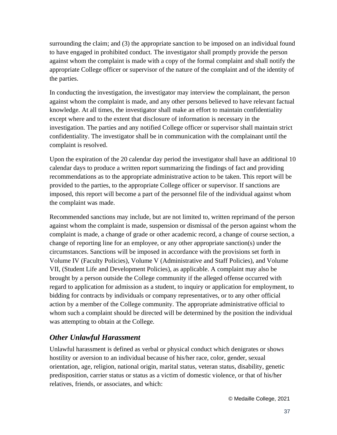surrounding the claim; and (3) the appropriate sanction to be imposed on an individual found to have engaged in prohibited conduct. The investigator shall promptly provide the person against whom the complaint is made with a copy of the formal complaint and shall notify the appropriate College officer or supervisor of the nature of the complaint and of the identity of the parties.

In conducting the investigation, the investigator may interview the complainant, the person against whom the complaint is made, and any other persons believed to have relevant factual knowledge. At all times, the investigator shall make an effort to maintain confidentiality except where and to the extent that disclosure of information is necessary in the investigation. The parties and any notified College officer or supervisor shall maintain strict confidentiality. The investigator shall be in communication with the complainant until the complaint is resolved.

Upon the expiration of the 20 calendar day period the investigator shall have an additional 10 calendar days to produce a written report summarizing the findings of fact and providing recommendations as to the appropriate administrative action to be taken. This report will be provided to the parties, to the appropriate College officer or supervisor. If sanctions are imposed, this report will become a part of the personnel file of the individual against whom the complaint was made.

Recommended sanctions may include, but are not limited to, written reprimand of the person against whom the complaint is made, suspension or dismissal of the person against whom the complaint is made, a change of grade or other academic record, a change of course section, a change of reporting line for an employee, or any other appropriate sanction(s) under the circumstances. Sanctions will be imposed in accordance with the provisions set forth in Volume IV (Faculty Policies), Volume V (Administrative and Staff Policies), and Volume VII, (Student Life and Development Policies), as applicable. A complaint may also be brought by a person outside the College community if the alleged offense occurred with regard to application for admission as a student, to inquiry or application for employment, to bidding for contracts by individuals or company representatives, or to any other official action by a member of the College community. The appropriate administrative official to whom such a complaint should be directed will be determined by the position the individual was attempting to obtain at the College.

# *Other Unlawful Harassment*

Unlawful harassment is defined as verbal or physical conduct which denigrates or shows hostility or aversion to an individual because of his/her race, color, gender, sexual orientation, age, religion, national origin, marital status, veteran status, disability, genetic predisposition, carrier status or status as a victim of domestic violence, or that of his/her relatives, friends, or associates, and which: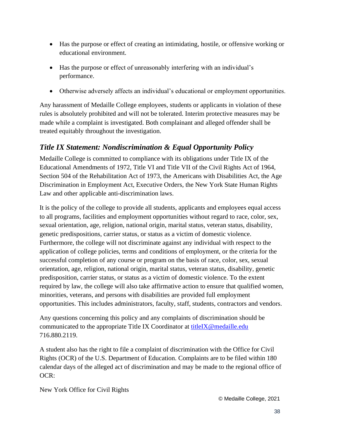- Has the purpose or effect of creating an intimidating, hostile, or offensive working or educational environment.
- Has the purpose or effect of unreasonably interfering with an individual's performance.
- Otherwise adversely affects an individual's educational or employment opportunities.

Any harassment of Medaille College employees, students or applicants in violation of these rules is absolutely prohibited and will not be tolerated. Interim protective measures may be made while a complaint is investigated. Both complainant and alleged offender shall be treated equitably throughout the investigation.

# *Title IX Statement: Nondiscrimination & Equal Opportunity Policy*

Medaille College is committed to compliance with its obligations under Title IX of the Educational Amendments of 1972, Title VI and Title VII of the Civil Rights Act of 1964, Section 504 of the Rehabilitation Act of 1973, the Americans with Disabilities Act, the Age Discrimination in Employment Act, Executive Orders, the New York State Human Rights Law and other applicable anti-discrimination laws.

It is the policy of the college to provide all students, applicants and employees equal access to all programs, facilities and employment opportunities without regard to race, color, sex, sexual orientation, age, religion, national origin, marital status, veteran status, disability, genetic predispositions, carrier status, or status as a victim of domestic violence. Furthermore, the college will not discriminate against any individual with respect to the application of college policies, terms and conditions of employment, or the criteria for the successful completion of any course or program on the basis of race, color, sex, sexual orientation, age, religion, national origin, marital status, veteran status, disability, genetic predisposition, carrier status, or status as a victim of domestic violence. To the extent required by law, the college will also take affirmative action to ensure that qualified women, minorities, veterans, and persons with disabilities are provided full employment opportunities. This includes administrators, faculty, staff, students, contractors and vendors.

Any questions concerning this policy and any complaints of discrimination should be communicated to the appropriate Title IX Coordinator at [titleIX@medaille.edu](mailto:titleIX@medaille.edu) 716.880.2119.

A student also has the right to file a complaint of discrimination with the Office for Civil Rights (OCR) of the U.S. Department of Education. Complaints are to be filed within 180 calendar days of the alleged act of discrimination and may be made to the regional office of  $OCR$ :

New York Office for Civil Rights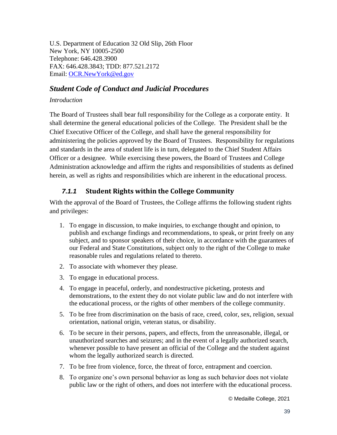U.S. Department of Education 32 Old Slip, 26th Floor New York, NY 10005-2500 Telephone: 646.428.3900 FAX: 646.428.3843; TDD: 877.521.2172 Email: [OCR.NewYork@ed.gov](mailto:OCR.NewYork@ed.gov)

#### *Student Code of Conduct and Judicial Procedures*

#### *Introduction*

The Board of Trustees shall bear full responsibility for the College as a corporate entity. It shall determine the general educational policies of the College. The President shall be the Chief Executive Officer of the College, and shall have the general responsibility for administering the policies approved by the Board of Trustees. Responsibility for regulations and standards in the area of student life is in turn, delegated to the Chief Student Affairs Officer or a designee. While exercising these powers, the Board of Trustees and College Administration acknowledge and affirm the rights and responsibilities of students as defined herein, as well as rights and responsibilities which are inherent in the educational process.

#### *7.1.1* **Student Rights within the College Community**

With the approval of the Board of Trustees, the College affirms the following student rights and privileges:

- 1. To engage in discussion, to make inquiries, to exchange thought and opinion, to publish and exchange findings and recommendations, to speak, or print freely on any subject, and to sponsor speakers of their choice, in accordance with the guarantees of our Federal and State Constitutions, subject only to the right of the College to make reasonable rules and regulations related to thereto.
- 2. To associate with whomever they please.
- 3. To engage in educational process.
- 4. To engage in peaceful, orderly, and nondestructive picketing, protests and demonstrations, to the extent they do not violate public law and do not interfere with the educational process, or the rights of other members of the college community.
- 5. To be free from discrimination on the basis of race, creed, color, sex, religion, sexual orientation, national origin, veteran status, or disability.
- 6. To be secure in their persons, papers, and effects, from the unreasonable, illegal, or unauthorized searches and seizures; and in the event of a legally authorized search, whenever possible to have present an official of the College and the student against whom the legally authorized search is directed.
- 7. To be free from violence, force, the threat of force, entrapment and coercion.
- 8. To organize one's own personal behavior as long as such behavior does not violate public law or the right of others, and does not interfere with the educational process.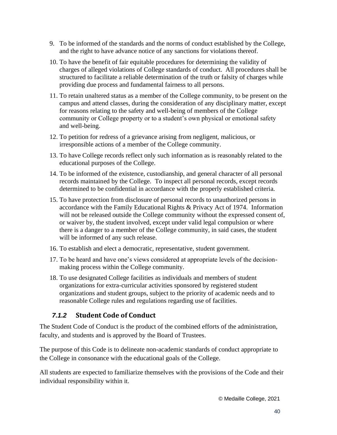- 9. To be informed of the standards and the norms of conduct established by the College, and the right to have advance notice of any sanctions for violations thereof.
- 10. To have the benefit of fair equitable procedures for determining the validity of charges of alleged violations of College standards of conduct. All procedures shall be structured to facilitate a reliable determination of the truth or falsity of charges while providing due process and fundamental fairness to all persons.
- 11. To retain unaltered status as a member of the College community, to be present on the campus and attend classes, during the consideration of any disciplinary matter, except for reasons relating to the safety and well-being of members of the College community or College property or to a student's own physical or emotional safety and well-being.
- 12. To petition for redress of a grievance arising from negligent, malicious, or irresponsible actions of a member of the College community.
- 13. To have College records reflect only such information as is reasonably related to the educational purposes of the College.
- 14. To be informed of the existence, custodianship, and general character of all personal records maintained by the College. To inspect all personal records, except records determined to be confidential in accordance with the properly established criteria.
- 15. To have protection from disclosure of personal records to unauthorized persons in accordance with the Family Educational Rights & Privacy Act of 1974. Information will not be released outside the College community without the expressed consent of, or waiver by, the student involved, except under valid legal compulsion or where there is a danger to a member of the College community, in said cases, the student will be informed of any such release.
- 16. To establish and elect a democratic, representative, student government.
- 17. To be heard and have one's views considered at appropriate levels of the decisionmaking process within the College community.
- 18. To use designated College facilities as individuals and members of student organizations for extra-curricular activities sponsored by registered student organizations and student groups, subject to the priority of academic needs and to reasonable College rules and regulations regarding use of facilities.

#### *7.1.2* **Student Code of Conduct**

The Student Code of Conduct is the product of the combined efforts of the administration, faculty, and students and is approved by the Board of Trustees.

The purpose of this Code is to delineate non-academic standards of conduct appropriate to the College in consonance with the educational goals of the College.

All students are expected to familiarize themselves with the provisions of the Code and their individual responsibility within it.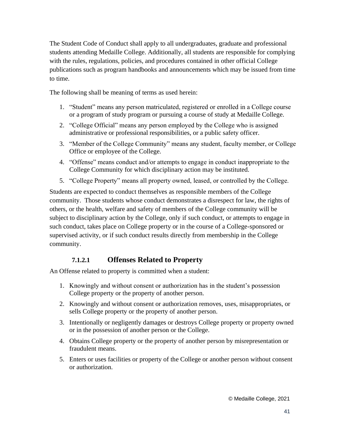The Student Code of Conduct shall apply to all undergraduates, graduate and professional students attending Medaille College. Additionally, all students are responsible for complying with the rules, regulations, policies, and procedures contained in other official College publications such as program handbooks and announcements which may be issued from time to time.

The following shall be meaning of terms as used herein:

- 1. "Student" means any person matriculated, registered or enrolled in a College course or a program of study program or pursuing a course of study at Medaille College.
- 2. "College Official" means any person employed by the College who is assigned administrative or professional responsibilities, or a public safety officer.
- 3. "Member of the College Community" means any student, faculty member, or College Office or employee of the College.
- 4. "Offense" means conduct and/or attempts to engage in conduct inappropriate to the College Community for which disciplinary action may be instituted.
- 5. "College Property" means all property owned, leased, or controlled by the College.

Students are expected to conduct themselves as responsible members of the College community. Those students whose conduct demonstrates a disrespect for law, the rights of others, or the health, welfare and safety of members of the College community will be subject to disciplinary action by the College, only if such conduct, or attempts to engage in such conduct, takes place on College property or in the course of a College-sponsored or supervised activity, or if such conduct results directly from membership in the College community.

#### **7.1.2.1 Offenses Related to Property**

An Offense related to property is committed when a student:

- 1. Knowingly and without consent or authorization has in the student's possession College property or the property of another person.
- 2. Knowingly and without consent or authorization removes, uses, misappropriates, or sells College property or the property of another person.
- 3. Intentionally or negligently damages or destroys College property or property owned or in the possession of another person or the College.
- 4. Obtains College property or the property of another person by misrepresentation or fraudulent means.
- 5. Enters or uses facilities or property of the College or another person without consent or authorization.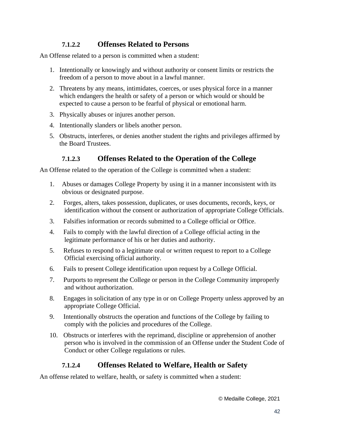#### **7.1.2.2 Offenses Related to Persons**

An Offense related to a person is committed when a student:

- 1. Intentionally or knowingly and without authority or consent limits or restricts the freedom of a person to move about in a lawful manner.
- 2. Threatens by any means, intimidates, coerces, or uses physical force in a manner which endangers the health or safety of a person or which would or should be expected to cause a person to be fearful of physical or emotional harm.
- 3. Physically abuses or injures another person.
- 4. Intentionally slanders or libels another person.
- 5. Obstructs, interferes, or denies another student the rights and privileges affirmed by the Board Trustees.

#### **7.1.2.3 Offenses Related to the Operation of the College**

An Offense related to the operation of the College is committed when a student:

- 1. Abuses or damages College Property by using it in a manner inconsistent with its obvious or designated purpose.
- 2. Forges, alters, takes possession, duplicates, or uses documents, records, keys, or identification without the consent or authorization of appropriate College Officials.
- 3. Falsifies information or records submitted to a College official or Office.
- 4. Fails to comply with the lawful direction of a College official acting in the legitimate performance of his or her duties and authority.
- 5. Refuses to respond to a legitimate oral or written request to report to a College Official exercising official authority.
- 6. Fails to present College identification upon request by a College Official.
- 7. Purports to represent the College or person in the College Community improperly and without authorization.
- 8. Engages in solicitation of any type in or on College Property unless approved by an appropriate College Official.
- 9. Intentionally obstructs the operation and functions of the College by failing to comply with the policies and procedures of the College.
- 10. Obstructs or interferes with the reprimand, discipline or apprehension of another person who is involved in the commission of an Offense under the Student Code of Conduct or other College regulations or rules.

#### **7.1.2.4 Offenses Related to Welfare, Health or Safety**

An offense related to welfare, health, or safety is committed when a student: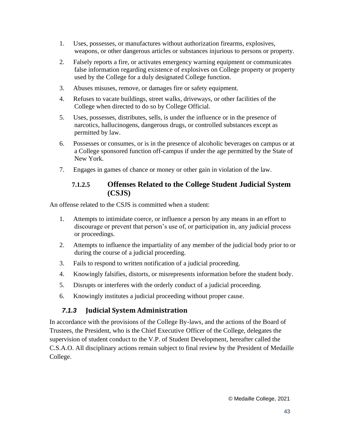- 1. Uses, possesses, or manufactures without authorization firearms, explosives, weapons, or other dangerous articles or substances injurious to persons or property.
- 2. Falsely reports a fire, or activates emergency warning equipment or communicates false information regarding existence of explosives on College property or property used by the College for a duly designated College function.
- 3. Abuses misuses, remove, or damages fire or safety equipment.
- 4. Refuses to vacate buildings, street walks, driveways, or other facilities of the College when directed to do so by College Official.
- 5. Uses, possesses, distributes, sells, is under the influence or in the presence of narcotics, hallucinogens, dangerous drugs, or controlled substances except as permitted by law.
- 6. Possesses or consumes, or is in the presence of alcoholic beverages on campus or at a College sponsored function off-campus if under the age permitted by the State of New York.
- 7. Engages in games of chance or money or other gain in violation of the law.

#### **7.1.2.5 Offenses Related to the College Student Judicial System (CSJS)**

An offense related to the CSJS is committed when a student:

- 1. Attempts to intimidate coerce, or influence a person by any means in an effort to discourage or prevent that person's use of, or participation in, any judicial process or proceedings.
- 2. Attempts to influence the impartiality of any member of the judicial body prior to or during the course of a judicial proceeding.
- 3. Fails to respond to written notification of a judicial proceeding.
- 4. Knowingly falsifies, distorts, or misrepresents information before the student body.
- 5. Disrupts or interferes with the orderly conduct of a judicial proceeding.
- 6. Knowingly institutes a judicial proceeding without proper cause.

# *7.1.3* **Judicial System Administration**

In accordance with the provisions of the College By-laws, and the actions of the Board of Trustees, the President, who is the Chief Executive Officer of the College, delegates the supervision of student conduct to the V.P. of Student Development, hereafter called the C.S.A.O. All disciplinary actions remain subject to final review by the President of Medaille College.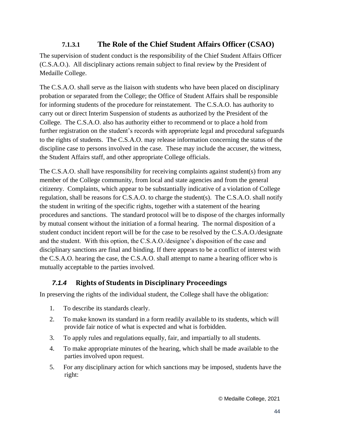### **7.1.3.1 The Role of the Chief Student Affairs Officer (CSAO)**

The supervision of student conduct is the responsibility of the Chief Student Affairs Officer (C.S.A.O.). All disciplinary actions remain subject to final review by the President of Medaille College.

The C.S.A.O. shall serve as the liaison with students who have been placed on disciplinary probation or separated from the College; the Office of Student Affairs shall be responsible for informing students of the procedure for reinstatement. The C.S.A.O. has authority to carry out or direct Interim Suspension of students as authorized by the President of the College. The C.S.A.O. also has authority either to recommend or to place a hold from further registration on the student's records with appropriate legal and procedural safeguards to the rights of students. The C.S.A.O. may release information concerning the status of the discipline case to persons involved in the case. These may include the accuser, the witness, the Student Affairs staff, and other appropriate College officials.

The C.S.A.O. shall have responsibility for receiving complaints against student(s) from any member of the College community, from local and state agencies and from the general citizenry. Complaints, which appear to be substantially indicative of a violation of College regulation, shall be reasons for C.S.A.O. to charge the student(s). The C.S.A.O. shall notify the student in writing of the specific rights, together with a statement of the hearing procedures and sanctions. The standard protocol will be to dispose of the charges informally by mutual consent without the initiation of a formal hearing. The normal disposition of a student conduct incident report will be for the case to be resolved by the C.S.A.O./designate and the student. With this option, the C.S.A.O./designee's disposition of the case and disciplinary sanctions are final and binding. If there appears to be a conflict of interest with the C.S.A.O. hearing the case, the C.S.A.O. shall attempt to name a hearing officer who is mutually acceptable to the parties involved.

# *7.1.4* **Rights of Students in Disciplinary Proceedings**

In preserving the rights of the individual student, the College shall have the obligation:

- 1. To describe its standards clearly.
- 2. To make known its standard in a form readily available to its students, which will provide fair notice of what is expected and what is forbidden.
- 3. To apply rules and regulations equally, fair, and impartially to all students.
- 4. To make appropriate minutes of the hearing, which shall be made available to the parties involved upon request.
- 5. For any disciplinary action for which sanctions may be imposed, students have the right: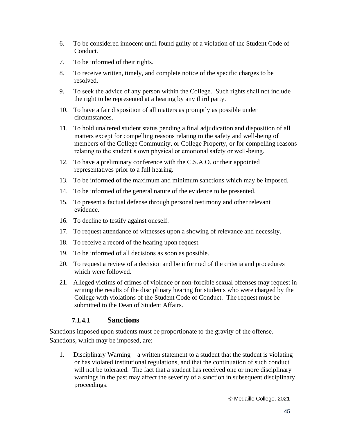- 6. To be considered innocent until found guilty of a violation of the Student Code of Conduct.
- 7. To be informed of their rights.
- 8. To receive written, timely, and complete notice of the specific charges to be resolved.
- 9. To seek the advice of any person within the College. Such rights shall not include the right to be represented at a hearing by any third party.
- 10. To have a fair disposition of all matters as promptly as possible under circumstances.
- 11. To hold unaltered student status pending a final adjudication and disposition of all matters except for compelling reasons relating to the safety and well-being of members of the College Community, or College Property, or for compelling reasons relating to the student's own physical or emotional safety or well-being.
- 12. To have a preliminary conference with the C.S.A.O. or their appointed representatives prior to a full hearing.
- 13. To be informed of the maximum and minimum sanctions which may be imposed.
- 14. To be informed of the general nature of the evidence to be presented.
- 15. To present a factual defense through personal testimony and other relevant evidence.
- 16. To decline to testify against oneself.
- 17. To request attendance of witnesses upon a showing of relevance and necessity.
- 18. To receive a record of the hearing upon request.
- 19. To be informed of all decisions as soon as possible.
- 20. To request a review of a decision and be informed of the criteria and procedures which were followed.
- 21. Alleged victims of crimes of violence or non-forcible sexual offenses may request in writing the results of the disciplinary hearing for students who were charged by the College with violations of the Student Code of Conduct. The request must be submitted to the Dean of Student Affairs.

#### **7.1.4.1 Sanctions**

Sanctions imposed upon students must be proportionate to the gravity of the offense. Sanctions, which may be imposed, are:

1. Disciplinary Warning – a written statement to a student that the student is violating or has violated institutional regulations, and that the continuation of such conduct will not be tolerated. The fact that a student has received one or more disciplinary warnings in the past may affect the severity of a sanction in subsequent disciplinary proceedings.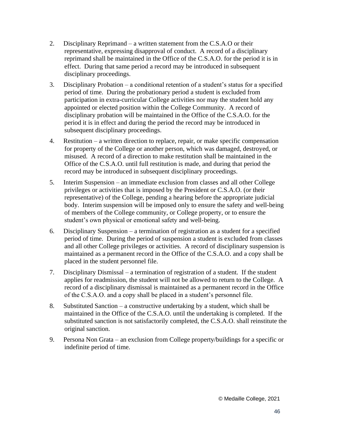- 2. Disciplinary Reprimand a written statement from the C.S.A.O or their representative, expressing disapproval of conduct. A record of a disciplinary reprimand shall be maintained in the Office of the C.S.A.O. for the period it is in effect. During that same period a record may be introduced in subsequent disciplinary proceedings.
- 3. Disciplinary Probation a conditional retention of a student's status for a specified period of time. During the probationary period a student is excluded from participation in extra-curricular College activities nor may the student hold any appointed or elected position within the College Community. A record of disciplinary probation will be maintained in the Office of the C.S.A.O. for the period it is in effect and during the period the record may be introduced in subsequent disciplinary proceedings.
- 4. Restitution a written direction to replace, repair, or make specific compensation for property of the College or another person, which was damaged, destroyed, or misused. A record of a direction to make restitution shall be maintained in the Office of the C.S.A.O. until full restitution is made, and during that period the record may be introduced in subsequent disciplinary proceedings.
- 5. Interim Suspension an immediate exclusion from classes and all other College privileges or activities that is imposed by the President or C.S.A.O. (or their representative) of the College, pending a hearing before the appropriate judicial body. Interim suspension will be imposed only to ensure the safety and well-being of members of the College community, or College property, or to ensure the student's own physical or emotional safety and well-being.
- 6. Disciplinary Suspension a termination of registration as a student for a specified period of time. During the period of suspension a student is excluded from classes and all other College privileges or activities. A record of disciplinary suspension is maintained as a permanent record in the Office of the C.S.A.O. and a copy shall be placed in the student personnel file.
- 7. Disciplinary Dismissal a termination of registration of a student. If the student applies for readmission, the student will not be allowed to return to the College. A record of a disciplinary dismissal is maintained as a permanent record in the Office of the C.S.A.O. and a copy shall be placed in a student's personnel file.
- 8. Substituted Sanction a constructive undertaking by a student, which shall be maintained in the Office of the C.S.A.O. until the undertaking is completed. If the substituted sanction is not satisfactorily completed, the C.S.A.O. shall reinstitute the original sanction.
- 9. Persona Non Grata an exclusion from College property/buildings for a specific or indefinite period of time.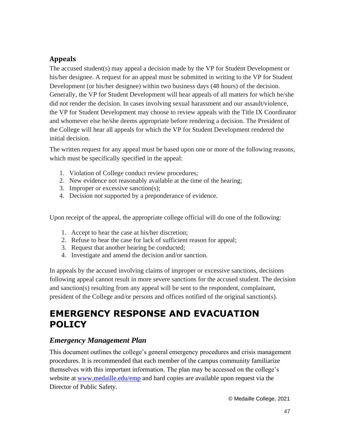# **Appeals**

The accused student(s) may appeal a decision made by the VP for Student Development or his/her designee. A request for an appeal must be submitted in writing to the VP for Student Development (or his/her designee) within two business days (48 hours) of the decision. Generally, the VP for Student Development will hear appeals of all matters for which he/she did not render the decision. In cases involving sexual harassment and our assault/violence, the VP for Student Development may choose to review appeals with the Title IX Coordinator and whomever else he/she deems appropriate before rendering a decision. The President of the College will hear all appeals for which the VP for Student Development rendered the initial decision.

The written request for any appeal must be based upon one or more of the following reasons, which must be specifically specified in the appeal:

- 1. Violation of College conduct review procedures;
- 2. New evidence not reasonably available at the time of the hearing;
- 3. Improper or excessive sanction(s);
- 4. Decision not supported by a preponderance of evidence.

Upon receipt of the appeal, the appropriate college official will do one of the following:

- 1. Accept to hear the case at his/her discretion;
- 2. Refuse to hear the case for lack of sufficient reason for appeal;
- 3. Request that another hearing be conducted;
- 4. Investigate and amend the decision and/or sanction.

In appeals by the accused involving claims of improper or excessive sanctions, decisions following appeal cannot result in more severe sanctions for the accused student. The decision and sanction(s) resulting from any appeal will be sent to the respondent, complainant, president of the College and/or persons and offices notified of the original sanction(s).

# **EMERGENCY RESPONSE AND EVACUATION POLICY**

# *Emergency Management Plan*

This document outlines the college's general emergency procedures and crisis management procedures. It is recommended that each member of the campus community familiarize themselves with this important information. The plan may be accessed on the college's website at [www.medaille.edu/emp](http://www.medaille.edu/emp) and hard copies are available upon request via the Director of Public Safety.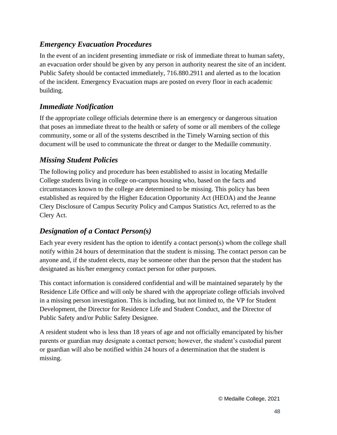### *Emergency Evacuation Procedures*

In the event of an incident presenting immediate or risk of immediate threat to human safety, an evacuation order should be given by any person in authority nearest the site of an incident. Public Safety should be contacted immediately, 716.880.2911 and alerted as to the location of the incident. Emergency Evacuation maps are posted on every floor in each academic building.

#### *Immediate Notification*

If the appropriate college officials determine there is an emergency or dangerous situation that poses an immediate threat to the health or safety of some or all members of the college community, some or all of the systems described in the Timely Warning section of this document will be used to communicate the threat or danger to the Medaille community.

### *Missing Student Policies*

The following policy and procedure has been established to assist in locating Medaille College students living in college on-campus housing who, based on the facts and circumstances known to the college are determined to be missing. This policy has been established as required by the Higher Education Opportunity Act (HEOA) and the Jeanne Clery Disclosure of Campus Security Policy and Campus Statistics Act, referred to as the Clery Act.

#### *Designation of a Contact Person(s)*

Each year every resident has the option to identify a contact person(s) whom the college shall notify within 24 hours of determination that the student is missing. The contact person can be anyone and, if the student elects, may be someone other than the person that the student has designated as his/her emergency contact person for other purposes.

This contact information is considered confidential and will be maintained separately by the Residence Life Office and will only be shared with the appropriate college officials involved in a missing person investigation. This is including, but not limited to, the VP for Student Development, the Director for Residence Life and Student Conduct, and the Director of Public Safety and/or Public Safety Designee.

A resident student who is less than 18 years of age and not officially emancipated by his/her parents or guardian may designate a contact person; however, the student's custodial parent or guardian will also be notified within 24 hours of a determination that the student is missing.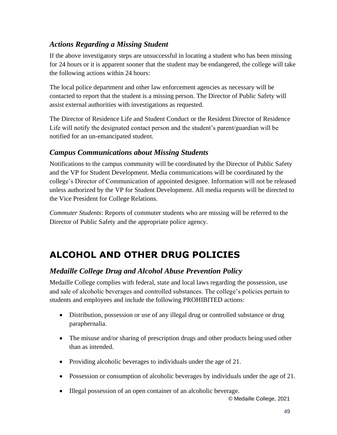# *Actions Regarding a Missing Student*

If the above investigatory steps are unsuccessful in locating a student who has been missing for 24 hours or it is apparent sooner that the student may be endangered, the college will take the following actions within 24 hours:

The local police department and other law enforcement agencies as necessary will be contacted to report that the student is a missing person. The Director of Public Safety will assist external authorities with investigations as requested.

The Director of Residence Life and Student Conduct or the Resident Director of Residence Life will notify the designated contact person and the student's parent/guardian will be notified for an un-emancipated student.

### *Campus Communications about Missing Students*

Notifications to the campus community will be coordinated by the Director of Public Safety and the VP for Student Development. Media communications will be coordinated by the college's Director of Communication of appointed designee. Information will not be released unless authorized by the VP for Student Development. All media requests will be directed to the Vice President for College Relations.

*Commuter Students*: Reports of commuter students who are missing will be referred to the Director of Public Safety and the appropriate police agency.

# **ALCOHOL AND OTHER DRUG POLICIES**

# *Medaille College Drug and Alcohol Abuse Prevention Policy*

Medaille College complies with federal, state and local laws regarding the possession, use and sale of alcoholic beverages and controlled substances. The college's policies pertain to students and employees and include the following PROHIBITED actions:

- Distribution, possession or use of any illegal drug or controlled substance or drug paraphernalia.
- The misuse and/or sharing of prescription drugs and other products being used other than as intended.
- Providing alcoholic beverages to individuals under the age of 21.
- Possession or consumption of alcoholic beverages by individuals under the age of 21.
- Illegal possession of an open container of an alcoholic beverage.

© Medaille College, 2021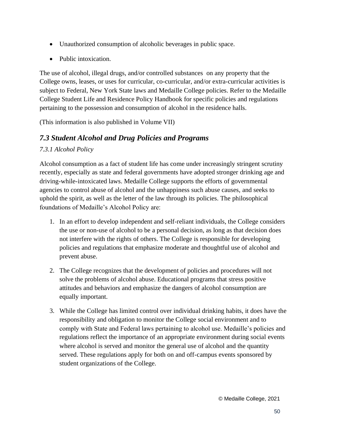- Unauthorized consumption of alcoholic beverages in public space.
- Public intoxication.

The use of alcohol, illegal drugs, and/or controlled substances on any property that the College owns, leases, or uses for curricular, co-curricular, and/or extra-curricular activities is subject to Federal, New York State laws and Medaille College policies. Refer to the Medaille College Student Life and Residence Policy Handbook for specific policies and regulations pertaining to the possession and consumption of alcohol in the residence halls.

(This information is also published in Volume VII)

# *7.3 Student Alcohol and Drug Policies and Programs*

#### *7.3.1 Alcohol Policy*

Alcohol consumption as a fact of student life has come under increasingly stringent scrutiny recently, especially as state and federal governments have adopted stronger drinking age and driving-while-intoxicated laws. Medaille College supports the efforts of governmental agencies to control abuse of alcohol and the unhappiness such abuse causes, and seeks to uphold the spirit, as well as the letter of the law through its policies. The philosophical foundations of Medaille's Alcohol Policy are:

- 1. In an effort to develop independent and self-reliant individuals, the College considers the use or non-use of alcohol to be a personal decision, as long as that decision does not interfere with the rights of others. The College is responsible for developing policies and regulations that emphasize moderate and thoughtful use of alcohol and prevent abuse.
- 2. The College recognizes that the development of policies and procedures will not solve the problems of alcohol abuse. Educational programs that stress positive attitudes and behaviors and emphasize the dangers of alcohol consumption are equally important.
- 3. While the College has limited control over individual drinking habits, it does have the responsibility and obligation to monitor the College social environment and to comply with State and Federal laws pertaining to alcohol use. Medaille's policies and regulations reflect the importance of an appropriate environment during social events where alcohol is served and monitor the general use of alcohol and the quantity served. These regulations apply for both on and off-campus events sponsored by student organizations of the College.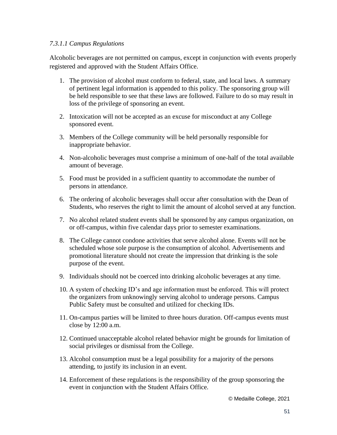#### *7.3.1.1 Campus Regulations*

Alcoholic beverages are not permitted on campus, except in conjunction with events properly registered and approved with the Student Affairs Office.

- 1. The provision of alcohol must conform to federal, state, and local laws. A summary of pertinent legal information is appended to this policy. The sponsoring group will be held responsible to see that these laws are followed. Failure to do so may result in loss of the privilege of sponsoring an event.
- 2. Intoxication will not be accepted as an excuse for misconduct at any College sponsored event.
- 3. Members of the College community will be held personally responsible for inappropriate behavior.
- 4. Non-alcoholic beverages must comprise a minimum of one-half of the total available amount of beverage.
- 5. Food must be provided in a sufficient quantity to accommodate the number of persons in attendance.
- 6. The ordering of alcoholic beverages shall occur after consultation with the Dean of Students, who reserves the right to limit the amount of alcohol served at any function.
- 7. No alcohol related student events shall be sponsored by any campus organization, on or off-campus, within five calendar days prior to semester examinations.
- 8. The College cannot condone activities that serve alcohol alone. Events will not be scheduled whose sole purpose is the consumption of alcohol. Advertisements and promotional literature should not create the impression that drinking is the sole purpose of the event.
- 9. Individuals should not be coerced into drinking alcoholic beverages at any time.
- 10. A system of checking ID's and age information must be enforced. This will protect the organizers from unknowingly serving alcohol to underage persons. Campus Public Safety must be consulted and utilized for checking IDs.
- 11. On-campus parties will be limited to three hours duration. Off-campus events must close by 12:00 a.m.
- 12. Continued unacceptable alcohol related behavior might be grounds for limitation of social privileges or dismissal from the College.
- 13. Alcohol consumption must be a legal possibility for a majority of the persons attending, to justify its inclusion in an event.
- 14. Enforcement of these regulations is the responsibility of the group sponsoring the event in conjunction with the Student Affairs Office.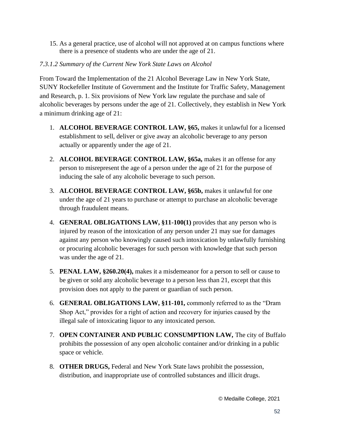15. As a general practice, use of alcohol will not approved at on campus functions where there is a presence of students who are under the age of 21.

#### *7.3.1.2 Summary of the Current New York State Laws on Alcohol*

From Toward the Implementation of the 21 Alcohol Beverage Law in New York State, SUNY Rockefeller Institute of Government and the Institute for Traffic Safety, Management and Research, p. 1. Six provisions of New York law regulate the purchase and sale of alcoholic beverages by persons under the age of 21. Collectively, they establish in New York a minimum drinking age of 21:

- 1. **ALCOHOL BEVERAGE CONTROL LAW, §65,** makes it unlawful for a licensed establishment to sell, deliver or give away an alcoholic beverage to any person actually or apparently under the age of 21.
- 2. **ALCOHOL BEVERAGE CONTROL LAW, §65a,** makes it an offense for any person to misrepresent the age of a person under the age of 21 for the purpose of inducing the sale of any alcoholic beverage to such person.
- 3. **ALCOHOL BEVERAGE CONTROL LAW, §65b,** makes it unlawful for one under the age of 21 years to purchase or attempt to purchase an alcoholic beverage through fraudulent means.
- 4. **GENERAL OBLIGATIONS LAW, §11-100(1)** provides that any person who is injured by reason of the intoxication of any person under 21 may sue for damages against any person who knowingly caused such intoxication by unlawfully furnishing or procuring alcoholic beverages for such person with knowledge that such person was under the age of 21.
- 5. **PENAL LAW, §260.20(4),** makes it a misdemeanor for a person to sell or cause to be given or sold any alcoholic beverage to a person less than 21, except that this provision does not apply to the parent or guardian of such person.
- 6. **GENERAL OBLIGATIONS LAW, §11-101,** commonly referred to as the "Dram Shop Act," provides for a right of action and recovery for injuries caused by the illegal sale of intoxicating liquor to any intoxicated person.
- 7. **OPEN CONTAINER AND PUBLIC CONSUMPTION LAW,** The city of Buffalo prohibits the possession of any open alcoholic container and/or drinking in a public space or vehicle.
- 8. **OTHER DRUGS,** Federal and New York State laws prohibit the possession, distribution, and inappropriate use of controlled substances and illicit drugs.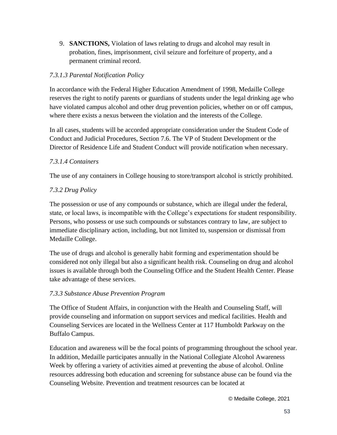9. **SANCTIONS,** Violation of laws relating to drugs and alcohol may result in probation, fines, imprisonment, civil seizure and forfeiture of property, and a permanent criminal record.

#### *7.3.1.3 Parental Notification Policy*

In accordance with the Federal Higher Education Amendment of 1998, Medaille College reserves the right to notify parents or guardians of students under the legal drinking age who have violated campus alcohol and other drug prevention policies, whether on or off campus, where there exists a nexus between the violation and the interests of the College.

In all cases, students will be accorded appropriate consideration under the Student Code of Conduct and Judicial Procedures, Section 7.6. The VP of Student Development or the Director of Residence Life and Student Conduct will provide notification when necessary.

#### *7.3.1.4 Containers*

The use of any containers in College housing to store/transport alcohol is strictly prohibited.

#### *7.3.2 Drug Policy*

The possession or use of any compounds or substance, which are illegal under the federal, state, or local laws, is incompatible with the College's expectations for student responsibility. Persons, who possess or use such compounds or substances contrary to law, are subject to immediate disciplinary action, including, but not limited to, suspension or dismissal from Medaille College.

The use of drugs and alcohol is generally habit forming and experimentation should be considered not only illegal but also a significant health risk. Counseling on drug and alcohol issues is available through both the Counseling Office and the Student Health Center. Please take advantage of these services.

#### *7.3.3 Substance Abuse Prevention Program*

The Office of Student Affairs, in conjunction with the Health and Counseling Staff, will provide counseling and information on support services and medical facilities. Health and Counseling Services are located in the Wellness Center at 117 Humboldt Parkway on the Buffalo Campus.

Education and awareness will be the focal points of programming throughout the school year. In addition, Medaille participates annually in the National Collegiate Alcohol Awareness Week by offering a variety of activities aimed at preventing the abuse of alcohol. Online resources addressing both education and screening for substance abuse can be found via the Counseling Website. Prevention and treatment resources can be located at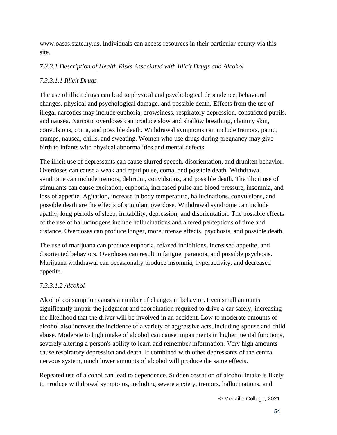www.oasas.state.ny.us. Individuals can access resources in their particular county via this site.

#### *7.3.3.1 Description of Health Risks Associated with Illicit Drugs and Alcohol*

#### *7.3.3.1.1 Illicit Drugs*

The use of illicit drugs can lead to physical and psychological dependence, behavioral changes, physical and psychological damage, and possible death. Effects from the use of illegal narcotics may include euphoria, drowsiness, respiratory depression, constricted pupils, and nausea. Narcotic overdoses can produce slow and shallow breathing, clammy skin, convulsions, coma, and possible death. Withdrawal symptoms can include tremors, panic, cramps, nausea, chills, and sweating. Women who use drugs during pregnancy may give birth to infants with physical abnormalities and mental defects.

The illicit use of depressants can cause slurred speech, disorientation, and drunken behavior. Overdoses can cause a weak and rapid pulse, coma, and possible death. Withdrawal syndrome can include tremors, delirium, convulsions, and possible death. The illicit use of stimulants can cause excitation, euphoria, increased pulse and blood pressure, insomnia, and loss of appetite. Agitation, increase in body temperature, hallucinations, convulsions, and possible death are the effects of stimulant overdose. Withdrawal syndrome can include apathy, long periods of sleep, irritability, depression, and disorientation. The possible effects of the use of hallucinogens include hallucinations and altered perceptions of time and distance. Overdoses can produce longer, more intense effects, psychosis, and possible death.

The use of marijuana can produce euphoria, relaxed inhibitions, increased appetite, and disoriented behaviors. Overdoses can result in fatigue, paranoia, and possible psychosis. Marijuana withdrawal can occasionally produce insomnia, hyperactivity, and decreased appetite.

#### *7.3.3.1.2 Alcohol*

Alcohol consumption causes a number of changes in behavior. Even small amounts significantly impair the judgment and coordination required to drive a car safely, increasing the likelihood that the driver will be involved in an accident. Low to moderate amounts of alcohol also increase the incidence of a variety of aggressive acts, including spouse and child abuse. Moderate to high intake of alcohol can cause impairments in higher mental functions, severely altering a person's ability to learn and remember information. Very high amounts cause respiratory depression and death. If combined with other depressants of the central nervous system, much lower amounts of alcohol will produce the same effects.

Repeated use of alcohol can lead to dependence. Sudden cessation of alcohol intake is likely to produce withdrawal symptoms, including severe anxiety, tremors, hallucinations, and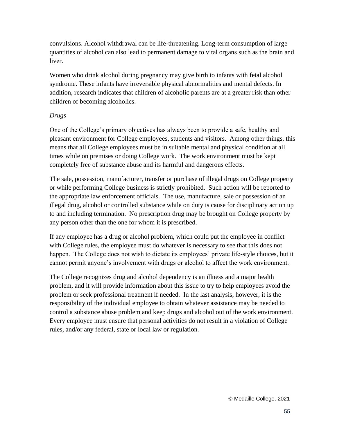convulsions. Alcohol withdrawal can be life-threatening. Long-term consumption of large quantities of alcohol can also lead to permanent damage to vital organs such as the brain and liver.

Women who drink alcohol during pregnancy may give birth to infants with fetal alcohol syndrome. These infants have irreversible physical abnormalities and mental defects. In addition, research indicates that children of alcoholic parents are at a greater risk than other children of becoming alcoholics.

#### *Drugs*

One of the College's primary objectives has always been to provide a safe, healthy and pleasant environment for College employees, students and visitors. Among other things, this means that all College employees must be in suitable mental and physical condition at all times while on premises or doing College work. The work environment must be kept completely free of substance abuse and its harmful and dangerous effects.

The sale, possession, manufacturer, transfer or purchase of illegal drugs on College property or while performing College business is strictly prohibited. Such action will be reported to the appropriate law enforcement officials. The use, manufacture, sale or possession of an illegal drug, alcohol or controlled substance while on duty is cause for disciplinary action up to and including termination. No prescription drug may be brought on College property by any person other than the one for whom it is prescribed.

If any employee has a drug or alcohol problem, which could put the employee in conflict with College rules, the employee must do whatever is necessary to see that this does not happen. The College does not wish to dictate its employees' private life-style choices, but it cannot permit anyone's involvement with drugs or alcohol to affect the work environment.

The College recognizes drug and alcohol dependency is an illness and a major health problem, and it will provide information about this issue to try to help employees avoid the problem or seek professional treatment if needed. In the last analysis, however, it is the responsibility of the individual employee to obtain whatever assistance may be needed to control a substance abuse problem and keep drugs and alcohol out of the work environment. Every employee must ensure that personal activities do not result in a violation of College rules, and/or any federal, state or local law or regulation.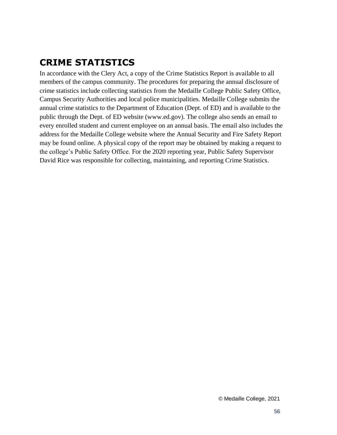# **CRIME STATISTICS**

In accordance with the Clery Act, a copy of the Crime Statistics Report is available to all members of the campus community. The procedures for preparing the annual disclosure of crime statistics include collecting statistics from the Medaille College Public Safety Office, Campus Security Authorities and local police municipalities. Medaille College submits the annual crime statistics to the Department of Education (Dept. of ED) and is available to the public through the Dept. of ED website (www.ed.gov). The college also sends an email to every enrolled student and current employee on an annual basis. The email also includes the address for the Medaille College website where the Annual Security and Fire Safety Report may be found online. A physical copy of the report may be obtained by making a request to the college's Public Safety Office. For the 2020 reporting year, Public Safety Supervisor David Rice was responsible for collecting, maintaining, and reporting Crime Statistics.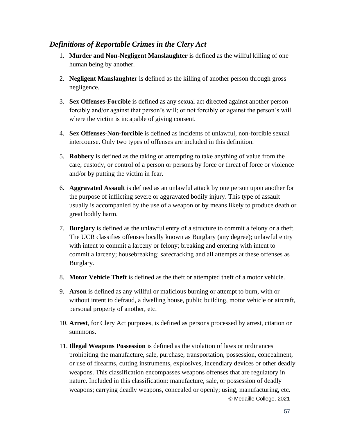#### *Definitions of Reportable Crimes in the Clery Act*

- 1. **Murder and Non-Negligent Manslaughter** is defined as the willful killing of one human being by another.
- 2. **Negligent Manslaughter** is defined as the killing of another person through gross negligence.
- 3. **Sex Offenses-Forcible** is defined as any sexual act directed against another person forcibly and/or against that person's will; or not forcibly or against the person's will where the victim is incapable of giving consent.
- 4. **Sex Offenses-Non-forcible** is defined as incidents of unlawful, non-forcible sexual intercourse. Only two types of offenses are included in this definition.
- 5. **Robbery** is defined as the taking or attempting to take anything of value from the care, custody, or control of a person or persons by force or threat of force or violence and/or by putting the victim in fear.
- 6. **Aggravated Assault** is defined as an unlawful attack by one person upon another for the purpose of inflicting severe or aggravated bodily injury. This type of assault usually is accompanied by the use of a weapon or by means likely to produce death or great bodily harm.
- 7. **Burglary** is defined as the unlawful entry of a structure to commit a felony or a theft. The UCR classifies offenses locally known as Burglary (any degree); unlawful entry with intent to commit a larceny or felony; breaking and entering with intent to commit a larceny; housebreaking; safecracking and all attempts at these offenses as Burglary.
- 8. **Motor Vehicle Theft** is defined as the theft or attempted theft of a motor vehicle.
- 9. **Arson** is defined as any willful or malicious burning or attempt to burn, with or without intent to defraud, a dwelling house, public building, motor vehicle or aircraft, personal property of another, etc.
- 10. **Arrest**, for Clery Act purposes, is defined as persons processed by arrest, citation or summons.
- © Medaille College, 2021 11. **Illegal Weapons Possession** is defined as the violation of laws or ordinances prohibiting the manufacture, sale, purchase, transportation, possession, concealment, or use of firearms, cutting instruments, explosives, incendiary devices or other deadly weapons. This classification encompasses weapons offenses that are regulatory in nature. Included in this classification: manufacture, sale, or possession of deadly weapons; carrying deadly weapons, concealed or openly; using, manufacturing, etc.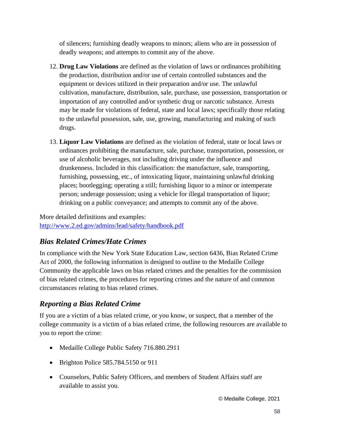of silencers; furnishing deadly weapons to minors; aliens who are in possession of deadly weapons; and attempts to commit any of the above.

- 12. **Drug Law Violations** are defined as the violation of laws or ordinances prohibiting the production, distribution and/or use of certain controlled substances and the equipment or devices utilized in their preparation and/or use. The unlawful cultivation, manufacture, distribution, sale, purchase, use possession, transportation or importation of any controlled and/or synthetic drug or narcotic substance. Arrests may be made for violations of federal, state and local laws; specifically those relating to the unlawful possession, sale, use, growing, manufacturing and making of such drugs.
- 13. **Liquor Law Violations** are defined as the violation of federal, state or local laws or ordinances prohibiting the manufacture, sale, purchase, transportation, possession, or use of alcoholic beverages, not including driving under the influence and drunkenness. Included in this classification: the manufacture, sale, transporting, furnishing, possessing, etc., of intoxicating liquor, maintaining unlawful drinking places; bootlegging; operating a still; furnishing liquor to a minor or intemperate person; underage possession; using a vehicle for illegal transportation of liquor; drinking on a public conveyance; and attempts to commit any of the above.

More detailed definitions and examples: <http://www.2.ed.gov/admins/lead/safety/handbook.pdf>

# *Bias Related Crimes/Hate Crimes*

In compliance with the New York State Education Law, section 6436, Bias Related Crime Act of 2000, the following information is designed to outline to the Medaille College Community the applicable laws on bias related crimes and the penalties for the commission of bias related crimes, the procedures for reporting crimes and the nature of and common circumstances relating to bias related crimes.

# *Reporting a Bias Related Crime*

If you are a victim of a bias related crime, or you know, or suspect, that a member of the college community is a victim of a bias related crime, the following resources are available to you to report the crime:

- Medaille College Public Safety 716.880.2911
- Brighton Police 585.784.5150 or 911
- Counselors, Public Safety Officers, and members of Student Affairs staff are available to assist you.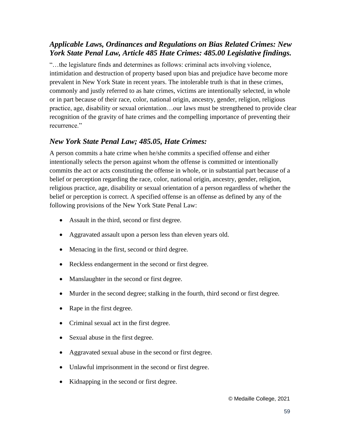# *Applicable Laws, Ordinances and Regulations on Bias Related Crimes: New York State Penal Law, Article 485 Hate Crimes: 485.00 Legislative findings.*

"…the legislature finds and determines as follows: criminal acts involving violence, intimidation and destruction of property based upon bias and prejudice have become more prevalent in New York State in recent years. The intolerable truth is that in these crimes, commonly and justly referred to as hate crimes, victims are intentionally selected, in whole or in part because of their race, color, national origin, ancestry, gender, religion, religious practice, age, disability or sexual orientation…our laws must be strengthened to provide clear recognition of the gravity of hate crimes and the compelling importance of preventing their recurrence."

### *New York State Penal Law; 485.05, Hate Crimes:*

A person commits a hate crime when he/she commits a specified offense and either intentionally selects the person against whom the offense is committed or intentionally commits the act or acts constituting the offense in whole, or in substantial part because of a belief or perception regarding the race, color, national origin, ancestry, gender, religion, religious practice, age, disability or sexual orientation of a person regardless of whether the belief or perception is correct. A specified offense is an offense as defined by any of the following provisions of the New York State Penal Law:

- Assault in the third, second or first degree.
- Aggravated assault upon a person less than eleven years old.
- Menacing in the first, second or third degree.
- Reckless endangerment in the second or first degree.
- Manslaughter in the second or first degree.
- Murder in the second degree; stalking in the fourth, third second or first degree.
- Rape in the first degree.
- Criminal sexual act in the first degree.
- Sexual abuse in the first degree.
- Aggravated sexual abuse in the second or first degree.
- Unlawful imprisonment in the second or first degree.
- Kidnapping in the second or first degree.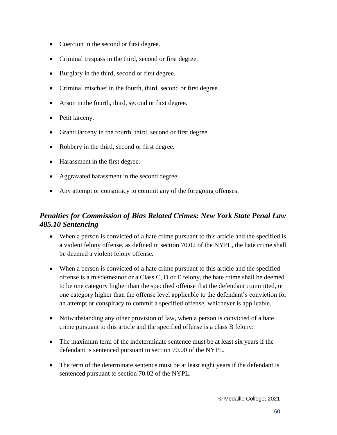- Coercion in the second or first degree.
- Criminal trespass in the third, second or first degree.
- Burglary in the third, second or first degree.
- Criminal mischief in the fourth, third, second or first degree.
- Arson in the fourth, third, second or first degree.
- Petit larceny.
- Grand larceny in the fourth, third, second or first degree.
- Robbery in the third, second or first degree.
- Harassment in the first degree.
- Aggravated harassment in the second degree.
- Any attempt or conspiracy to commit any of the foregoing offenses.

# *Penalties for Commission of Bias Related Crimes: New York State Penal Law 485.10 Sentencing*

- When a person is convicted of a hate crime pursuant to this article and the specified is a violent felony offense, as defined in section 70.02 of the NYPL, the hate crime shall be deemed a violent felony offense.
- When a person is convicted of a hate crime pursuant to this article and the specified offense is a misdemeanor or a Class C, D or E felony, the hate crime shall be deemed to be one category higher than the specified offense that the defendant committed, or one category higher than the offense level applicable to the defendant's conviction for an attempt or conspiracy to commit a specified offense, whichever is applicable.
- Notwithstanding any other provision of law, when a person is convicted of a hate crime pursuant to this article and the specified offense is a class B felony:
- The maximum term of the indeterminate sentence must be at least six years if the defendant is sentenced pursuant to section 70.00 of the NYPL.
- The term of the determinate sentence must be at least eight years if the defendant is sentenced pursuant to section 70.02 of the NYPL.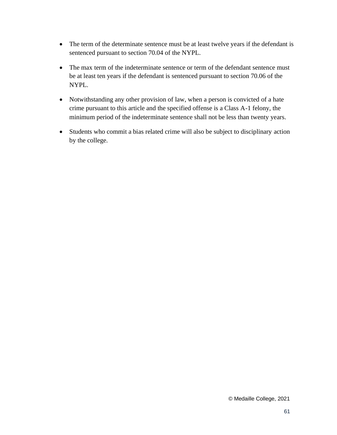- The term of the determinate sentence must be at least twelve years if the defendant is sentenced pursuant to section 70.04 of the NYPL.
- The max term of the indeterminate sentence or term of the defendant sentence must be at least ten years if the defendant is sentenced pursuant to section 70.06 of the NYPL.
- Notwithstanding any other provision of law, when a person is convicted of a hate crime pursuant to this article and the specified offense is a Class A-1 felony, the minimum period of the indeterminate sentence shall not be less than twenty years.
- Students who commit a bias related crime will also be subject to disciplinary action by the college.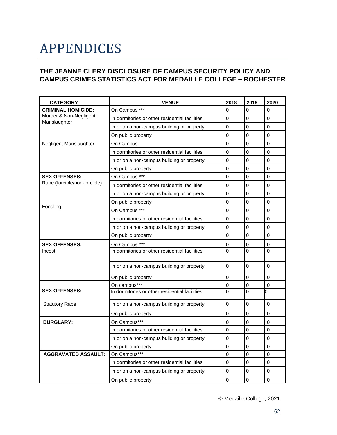# APPENDICES

#### <span id="page-61-0"></span>**THE JEANNE CLERY DISCLOSURE OF CAMPUS SECURITY POLICY AND CAMPUS CRIMES STATISTICS ACT FOR MEDAILLE COLLEGE – ROCHESTER**

| <b>CATEGORY</b>                        | <b>VENUE</b>                                   | 2018           | 2019           | 2020           |
|----------------------------------------|------------------------------------------------|----------------|----------------|----------------|
| <b>CRIMINAL HOMICIDE:</b>              | On Campus ***                                  | $\Omega$       | 0              | $\Omega$       |
| Murder & Non-Negligent<br>Manslaughter | In dormitories or other residential facilities | $\Omega$       | 0              | $\Omega$       |
|                                        | In or on a non-campus building or property     | 0              | 0              | $\Omega$       |
|                                        | On public property                             | 0              | 0              | 0              |
| Negligent Manslaughter                 | On Campus                                      | 0              | 0              | $\Omega$       |
|                                        | In dormitories or other residential facilities | 0              | 0              | $\Omega$       |
|                                        | In or on a non-campus building or property     | 0              | 0              | 0              |
|                                        | On public property                             | 0              | 0              | $\overline{0}$ |
| <b>SEX OFFENSES:</b>                   | On Campus ***                                  | 0              | 0              | $\Omega$       |
| Rape (forcible/non-forcible)           | In dormitories or other residential facilities | 0              | 0              | $\Omega$       |
|                                        | In or on a non-campus building or property     | 0              | 0              | $\Omega$       |
|                                        | On public property                             | 0              | 0              | $\Omega$       |
| Fondling                               | On Campus ***                                  | 0              | 0              | $\Omega$       |
|                                        | In dormitories or other residential facilities | $\overline{0}$ | 0              | 0              |
|                                        | In or on a non-campus building or property     | 0              | 0              | $\Omega$       |
|                                        | On public property                             | 0              | 0              | $\overline{0}$ |
| <b>SEX OFFENSES:</b>                   | On Campus ***                                  | $\mathbf 0$    | 0              | 0              |
| Incest                                 | In dormitories or other residential facilities | $\Omega$       | 0              | $\Omega$       |
|                                        | In or on a non-campus building or property     | 0              | 0              | $\Omega$       |
|                                        | On public property                             | 0              | 0              | 0              |
|                                        | On campus***                                   | $\mathbf 0$    | 0              | $\overline{0}$ |
| <b>SEX OFFENSES:</b>                   | In dormitories or other residential facilities | 0              | 0              | n              |
| <b>Statutory Rape</b>                  | In or on a non-campus building or property     | 0              | 0              | 0              |
|                                        | On public property                             | 0              | 0              | 0              |
| <b>BURGLARY:</b>                       | On Campus***                                   | $\overline{0}$ | $\overline{0}$ | $\Omega$       |
|                                        | In dormitories or other residential facilities | $\overline{0}$ | $\overline{0}$ | $\overline{0}$ |
|                                        | In or on a non-campus building or property     | 0              | 0              | $\overline{0}$ |
|                                        | On public property                             | 0              | 0              | $\overline{0}$ |
| <b>AGGRAVATED ASSAULT:</b>             | On Campus***                                   | 0              | 0              | $\overline{0}$ |
|                                        | In dormitories or other residential facilities | 0              | 0              | 0              |
|                                        | In or on a non-campus building or property     | 0              | 0              | 0              |
|                                        | On public property                             | 0              | 0              | $\Omega$       |

© Medaille College, 2021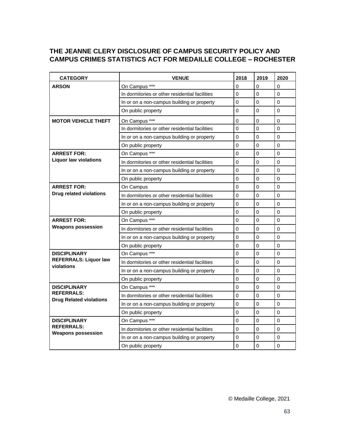#### **THE JEANNE CLERY DISCLOSURE OF CAMPUS SECURITY POLICY AND CAMPUS CRIMES STATISTICS ACT FOR MEDAILLE COLLEGE – ROCHESTER**

| <b>CATEGORY</b>                                     | <b>VENUE</b>                                   | 2018           | 2019         | 2020     |
|-----------------------------------------------------|------------------------------------------------|----------------|--------------|----------|
| <b>ARSON</b>                                        | On Campus ***                                  | 0              | 0            | $\Omega$ |
|                                                     | In dormitories or other residential facilities | $\overline{0}$ | $\Omega$     | $\Omega$ |
|                                                     | In or on a non-campus building or property     | $\Omega$       | $\mathbf{0}$ | $\Omega$ |
|                                                     | On public property                             | 0              | 0            | $\Omega$ |
| <b>MOTOR VEHICLE THEFT</b>                          | On Campus ***                                  | $\Omega$       | $\mathbf{0}$ | $\Omega$ |
|                                                     | In dormitories or other residential facilities | $\Omega$       | $\Omega$     | $\Omega$ |
|                                                     | In or on a non-campus building or property     | $\Omega$       | $\mathbf{0}$ | $\Omega$ |
|                                                     | On public property                             | 0              | $\Omega$     | $\Omega$ |
| <b>ARREST FOR:</b>                                  | On Campus ***                                  | $\Omega$       | $\mathbf{0}$ | $\Omega$ |
| <b>Liquor law violations</b>                        | In dormitories or other residential facilities | 0              | 0            | $\Omega$ |
|                                                     | In or on a non-campus building or property     | 0              | $\mathbf{0}$ | $\Omega$ |
|                                                     | On public property                             | 0              | $\mathbf{0}$ | $\Omega$ |
| <b>ARREST FOR:</b>                                  | On Campus                                      | $\Omega$       | $\mathbf{0}$ | $\Omega$ |
| <b>Drug related violations</b>                      | In dormitories or other residential facilities | $\Omega$       | $\mathbf{0}$ | $\Omega$ |
|                                                     | In or on a non-campus building or property     | $\Omega$       | $\Omega$     | $\Omega$ |
|                                                     | On public property                             | 0              | $\mathbf{0}$ | $\Omega$ |
| <b>ARREST FOR:</b>                                  | On Campus ***                                  | $\Omega$       | $\Omega$     | $\Omega$ |
| <b>Weapons possession</b>                           | In dormitories or other residential facilities | $\Omega$       | $\mathbf{0}$ | $\Omega$ |
|                                                     | In or on a non-campus building or property     | 0              | 0            | $\Omega$ |
|                                                     | On public property                             | $\Omega$       | $\mathbf{0}$ | $\Omega$ |
| <b>DISCIPLINARY</b>                                 | On Campus ***                                  | $\Omega$       | $\Omega$     | $\Omega$ |
| <b>REFERRALS: Liquor law</b><br>violations          | In dormitories or other residential facilities | $\Omega$       | $\Omega$     | $\Omega$ |
|                                                     | In or on a non-campus building or property     | 0              | $\mathbf{0}$ | $\Omega$ |
|                                                     | On public property                             | 0              | $\Omega$     | $\Omega$ |
| <b>DISCIPLINARY</b>                                 | On Campus ***                                  | $\Omega$       | $\mathbf{0}$ | $\Omega$ |
| <b>REFERRALS:</b><br><b>Drug Related violations</b> | In dormitories or other residential facilities | $\Omega$       | $\Omega$     | $\Omega$ |
|                                                     | In or on a non-campus building or property     | 0              | $\mathbf{0}$ | $\Omega$ |
|                                                     | On public property                             | 0              | $\mathbf{0}$ | $\Omega$ |
| <b>DISCIPLINARY</b>                                 | On Campus ***                                  | $\Omega$       | $\mathbf{0}$ | $\Omega$ |
| <b>REFERRALS:</b><br><b>Weapons possession</b>      | In dormitories or other residential facilities | $\Omega$       | $\mathbf{0}$ | $\Omega$ |
|                                                     | In or on a non-campus building or property     | $\Omega$       | $\mathbf{0}$ | $\Omega$ |
|                                                     | On public property                             | $\Omega$       | $\mathbf{0}$ | $\Omega$ |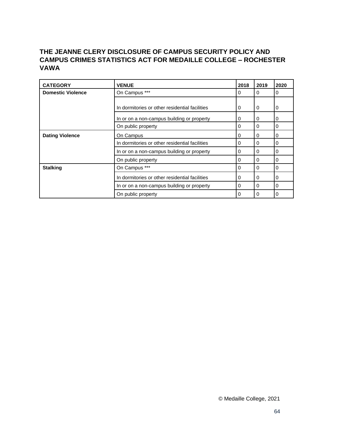### **THE JEANNE CLERY DISCLOSURE OF CAMPUS SECURITY POLICY AND CAMPUS CRIMES STATISTICS ACT FOR MEDAILLE COLLEGE – ROCHESTER VAWA**

| <b>CATEGORY</b>          | <b>VENUE</b>                                   | 2018     | 2019     | 2020     |
|--------------------------|------------------------------------------------|----------|----------|----------|
| <b>Domestic Violence</b> | On Campus ***                                  | 0        | 0        | $\Omega$ |
|                          |                                                |          |          |          |
|                          | In dormitories or other residential facilities | $\Omega$ | $\Omega$ | 0        |
|                          | In or on a non-campus building or property     | $\Omega$ | 0        | 0        |
|                          | On public property                             | 0        | $\Omega$ | 0        |
| <b>Dating Violence</b>   | On Campus                                      | 0        | $\Omega$ | 0        |
|                          | In dormitories or other residential facilities | $\Omega$ | 0        | 0        |
|                          | In or on a non-campus building or property     | 0        | $\Omega$ | 0        |
|                          | On public property                             | 0        | $\Omega$ | 0        |
| <b>Stalking</b>          | On Campus ***                                  | $\Omega$ | $\Omega$ | 0        |
|                          | In dormitories or other residential facilities | $\Omega$ | $\Omega$ | 0        |
|                          | In or on a non-campus building or property     | 0        | $\Omega$ | 0        |
|                          | On public property                             | $\Omega$ | $\Omega$ | $\Omega$ |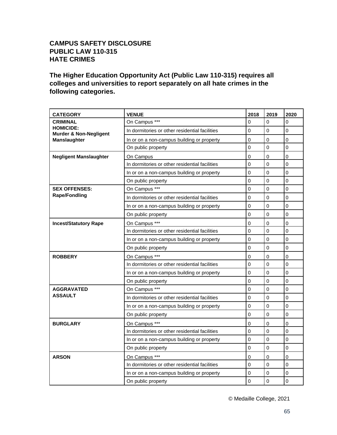#### **CAMPUS SAFETY DISCLOSURE PUBLIC LAW 110-315 HATE CRIMES**

**The Higher Education Opportunity Act (Public Law 110-315) requires all colleges and universities to report separately on all hate crimes in the following categories.**

| <b>CATEGORY</b>                                       | <b>VENUE</b>                                   | 2018           | 2019     | 2020        |
|-------------------------------------------------------|------------------------------------------------|----------------|----------|-------------|
| <b>CRIMINAL</b>                                       | On Campus ***                                  | $\Omega$       | $\Omega$ | 0           |
| <b>HOMICIDE:</b><br><b>Murder &amp; Non-Negligent</b> | In dormitories or other residential facilities | $\mathbf 0$    | 0        | 0           |
| <b>Manslaughter</b>                                   | In or on a non-campus building or property     | 0              | 0        | 0           |
|                                                       | On public property                             | $\overline{0}$ | 0        | 0           |
| <b>Negligent Manslaughter</b>                         | On Campus                                      | $\mathbf 0$    | 0        | 0           |
|                                                       | In dormitories or other residential facilities | $\overline{0}$ | $\Omega$ | 0           |
|                                                       | In or on a non-campus building or property     | $\mathbf 0$    | 0        | 0           |
|                                                       | On public property                             | $\overline{0}$ | $\Omega$ | 0           |
| <b>SEX OFFENSES:</b>                                  | On Campus ***                                  | $\mathbf 0$    | 0        | 0           |
| <b>Rape/Fondling</b>                                  | In dormitories or other residential facilities | 0              | 0        | 0           |
|                                                       | In or on a non-campus building or property     | $\mathbf 0$    | 0        | 0           |
|                                                       | On public property                             | 0              | 0        | 0           |
| <b>Incest/Statutory Rape</b>                          | On Campus ***                                  | $\mathbf 0$    | 0        | 0           |
|                                                       | In dormitories or other residential facilities | 0              | 0        | 0           |
|                                                       | In or on a non-campus building or property     | $\mathbf 0$    | 0        | 0           |
|                                                       | On public property                             | $\mathbf 0$    | 0        | 0           |
| <b>ROBBERY</b>                                        | On Campus ***                                  | 0              | 0        | $\mathbf 0$ |
|                                                       | In dormitories or other residential facilities | $\mathbf 0$    | 0        | 0           |
|                                                       | In or on a non-campus building or property     | $\mathbf 0$    | 0        | 0           |
|                                                       | On public property                             | $\mathbf 0$    | 0        | 0           |
| <b>AGGRAVATED</b>                                     | On Campus ***                                  | $\mathbf 0$    | 0        | 0           |
| <b>ASSAULT</b>                                        | In dormitories or other residential facilities | 0              | 0        | 0           |
|                                                       | In or on a non-campus building or property     | $\overline{0}$ | 0        | 0           |
|                                                       | On public property                             | $\overline{0}$ | 0        | 0           |
| <b>BURGLARY</b>                                       | On Campus ***                                  | $\mathbf 0$    | 0        | 0           |
|                                                       | In dormitories or other residential facilities | $\mathbf 0$    | 0        | 0           |
|                                                       | In or on a non-campus building or property     | 0              | 0        | 0           |
|                                                       | On public property                             | $\overline{0}$ | 0        | 0           |
| <b>ARSON</b>                                          | On Campus ***                                  | 0              | $\Omega$ | 0           |
|                                                       | In dormitories or other residential facilities | $\overline{0}$ | 0        | 0           |
|                                                       | In or on a non-campus building or property     | 0              | 0        | 0           |
|                                                       | On public property                             | $\overline{0}$ | 0        | 0           |

© Medaille College, 2021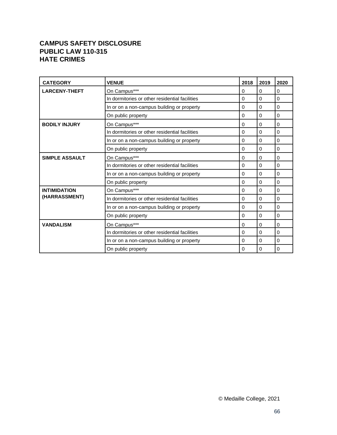#### **CAMPUS SAFETY DISCLOSURE PUBLIC LAW 110-315 HATE CRIMES**

| <b>CATEGORY</b>       | <b>VENUE</b>                                   | 2018     | 2019     | 2020     |
|-----------------------|------------------------------------------------|----------|----------|----------|
| <b>LARCENY-THEFT</b>  | On Campus***                                   | 0        | 0        | 0        |
|                       | In dormitories or other residential facilities | 0        | $\Omega$ | 0        |
|                       | In or on a non-campus building or property     | $\Omega$ | $\Omega$ | 0        |
|                       | On public property                             | 0        | $\Omega$ | 0        |
| <b>BODILY INJURY</b>  | On Campus***                                   | 0        | 0        | 0        |
|                       | In dormitories or other residential facilities | 0        | $\Omega$ | 0        |
|                       | In or on a non-campus building or property     | 0        | 0        | 0        |
|                       | On public property                             | 0        | 0        | 0        |
| <b>SIMPLE ASSAULT</b> | On Campus***                                   | 0        | $\Omega$ | 0        |
|                       | In dormitories or other residential facilities | 0        | $\Omega$ | $\Omega$ |
|                       | In or on a non-campus building or property     | 0        | $\Omega$ | 0        |
|                       | On public property                             | 0        | $\Omega$ | 0        |
| <b>INTIMIDATION</b>   | On Campus***                                   | 0        | $\Omega$ | $\Omega$ |
| (HARRASSMENT)         | In dormitories or other residential facilities | 0        | $\Omega$ | 0        |
|                       | In or on a non-campus building or property     | 0        | $\Omega$ | 0        |
|                       | On public property                             | 0        | $\Omega$ | 0        |
| <b>VANDALISM</b>      | On Campus***                                   | 0        | 0        | 0        |
|                       | In dormitories or other residential facilities | $\Omega$ | $\Omega$ | 0        |
|                       | In or on a non-campus building or property     | 0        | $\Omega$ | 0        |
|                       | On public property                             | 0        | 0        | 0        |